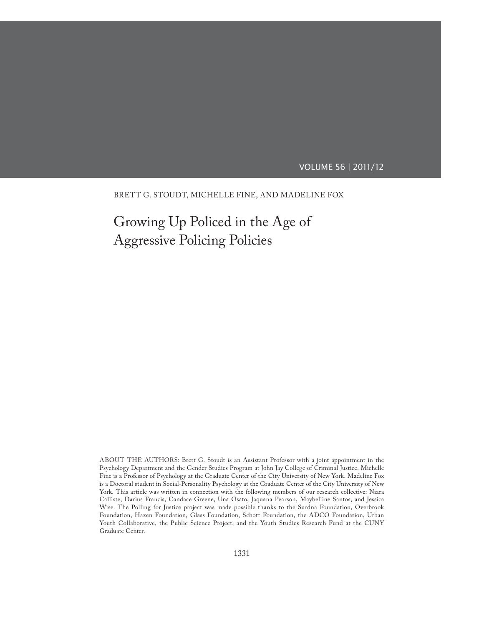### VOLUME 56 | 2011/12

#### BRETT G. STOUDT, MICHELLE FINE, AND MADELINE FOX

# Growing Up Policed in the Age of Aggressive Policing Policies

ABOUT THE AUTHORS: Brett G. Stoudt is an Assistant Professor with a joint appointment in the Psychology Department and the Gender Studies Program at John Jay College of Criminal Justice. Michelle Fine is a Professor of Psychology at the Graduate Center of the City University of New York. Madeline Fox is a Doctoral student in Social-Personality Psychology at the Graduate Center of the City University of New York. This article was written in connection with the following members of our research collective: Niara Calliste, Darius Francis, Candace Greene, Una Osato, Jaquana Pearson, Maybelline Santos, and Jessica Wise. The Polling for Justice project was made possible thanks to the Surdna Foundation, Overbrook Foundation, Hazen Foundation, Glass Foundation, Schott Foundation, the ADCO Foundation, Urban Youth Collaborative, the Public Science Project, and the Youth Studies Research Fund at the CUNY Graduate Center.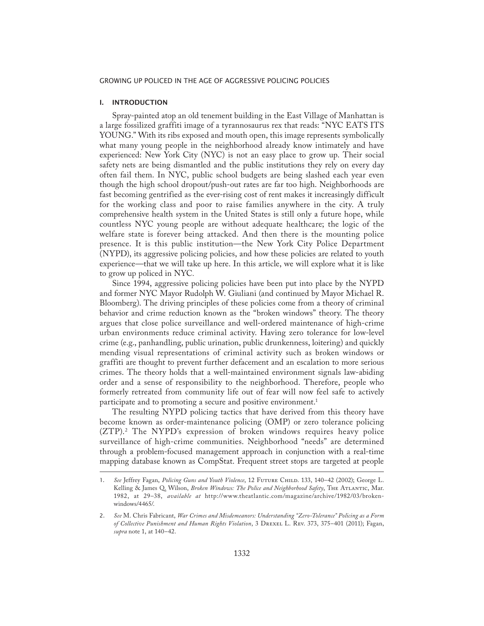#### I. INTRODUCTION

 Spray-painted atop an old tenement building in the East Village of Manhattan is a large fossilized graffiti image of a tyrannosaurus rex that reads: "NYC EATS ITS YOUNG." With its ribs exposed and mouth open, this image represents symbolically what many young people in the neighborhood already know intimately and have experienced: New York City (NYC) is not an easy place to grow up. Their social safety nets are being dismantled and the public institutions they rely on every day often fail them. In NYC, public school budgets are being slashed each year even though the high school dropout/push-out rates are far too high. Neighborhoods are fast becoming gentrified as the ever-rising cost of rent makes it increasingly difficult for the working class and poor to raise families anywhere in the city. A truly comprehensive health system in the United States is still only a future hope, while countless NYC young people are without adequate healthcare; the logic of the welfare state is forever being attacked. And then there is the mounting police presence. It is this public institution—the New York City Police Department (NYPD), its aggressive policing policies, and how these policies are related to youth experience—that we will take up here. In this article, we will explore what it is like to grow up policed in NYC*.*

 Since 1994, aggressive policing policies have been put into place by the NYPD and former NYC Mayor Rudolph W. Giuliani (and continued by Mayor Michael R. Bloomberg). The driving principles of these policies come from a theory of criminal behavior and crime reduction known as the "broken windows" theory. The theory argues that close police surveillance and well-ordered maintenance of high-crime urban environments reduce criminal activity. Having zero tolerance for low-level crime (e.g., panhandling, public urination, public drunkenness, loitering) and quickly mending visual representations of criminal activity such as broken windows or graffiti are thought to prevent further defacement and an escalation to more serious crimes. The theory holds that a well-maintained environment signals law-abiding order and a sense of responsibility to the neighborhood. Therefore, people who formerly retreated from community life out of fear will now feel safe to actively participate and to promoting a secure and positive environment.<sup>1</sup>

 The resulting NYPD policing tactics that have derived from this theory have become known as order-maintenance policing (OMP) or zero tolerance policing (ZTP).2 The NYPD's expression of broken windows requires heavy police surveillance of high-crime communities. Neighborhood "needs" are determined through a problem-focused management approach in conjunction with a real-time mapping database known as CompStat. Frequent street stops are targeted at people

<sup>1.</sup> See Jeffrey Fagan, Policing Guns and Youth Violence, 12 FUTURE CHILD. 133, 140-42 (2002); George L. Kelling & James Q. Wilson, *Broken Windows: The Police and Neighborhood Safety*, The Atlantic, Mar. 1982, at 29–38, *available at* http://www.theatlantic.com/magazine/archive/1982/03/brokenwindows/4465/.

<sup>2.</sup> *See* M. Chris Fabricant, *War Crimes and Misdemeanors: Understanding "Zero-Tolerance" Policing as a Form of Collective Punishment and Human Rights Violation*, 3 Drexel L. Rev. 373, 375–401 (2011); Fagan, *supra* note 1, at 140–42.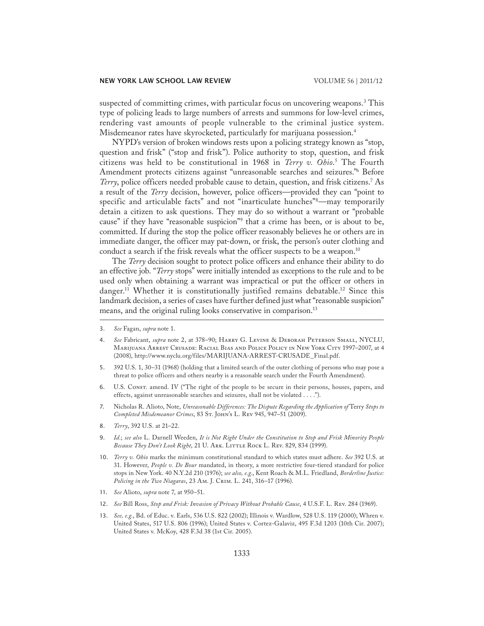suspected of committing crimes, with particular focus on uncovering weapons.<sup>3</sup> This type of policing leads to large numbers of arrests and summons for low-level crimes, rendering vast amounts of people vulnerable to the criminal justice system. Misdemeanor rates have skyrocketed, particularly for marijuana possession.4

 NYPD's version of broken windows rests upon a policing strategy known as "stop, question and frisk" ("stop and frisk"). Police authority to stop, question, and frisk citizens was held to be constitutional in 1968 in *Terry v. Ohio*. 5 The Fourth Amendment protects citizens against "unreasonable searches and seizures."6 Before *Terry*, police officers needed probable cause to detain, question, and frisk citizens.7 As a result of the *Terry* decision, however, police officers—provided they can "point to specific and articulable facts" and not "inarticulate hunches"<sup>8</sup>—may temporarily detain a citizen to ask questions. They may do so without a warrant or "probable cause" if they have "reasonable suspicion"9 that a crime has been, or is about to be, committed. If during the stop the police officer reasonably believes he or others are in immediate danger, the officer may pat-down, or frisk, the person's outer clothing and conduct a search if the frisk reveals what the officer suspects to be a weapon.<sup>10</sup>

 The *Terry* decision sought to protect police officers and enhance their ability to do an effective job. "*Terry* stops" were initially intended as exceptions to the rule and to be used only when obtaining a warrant was impractical or put the officer or others in danger.<sup>11</sup> Whether it is constitutionally justified remains debatable.<sup>12</sup> Since this landmark decision, a series of cases have further defined just what "reasonable suspicion" means, and the original ruling looks conservative in comparison.<sup>13</sup>

- 4. *See* Fabricant, *supra* note 2, at 378–90; Harry G. Levine & Deborah Peterson Small, NYCLU, Marijuana Arrest Crusade: Racial Bias and Police Policy in New York City 1997–2007, at 4 (2008), http://www.nyclu.org/files/MARIJUANA-ARREST-CRUSADE\_Final.pdf.
- 5. 392 U.S. 1, 30–31 (1968) (holding that a limited search of the outer clothing of persons who may pose a threat to police officers and others nearby is a reasonable search under the Fourth Amendment).
- 6. U.S. Const. amend. IV ("The right of the people to be secure in their persons, houses, papers, and effects, against unreasonable searches and seizures, shall not be violated . . . .").
- 7. Nicholas R. Alioto, Note, *Unreasonable Differences: The Dispute Regarding the Application of* Terry *Stops to Completed Misdemeanor Crimes*, 83 St. John's L. Rev 945, 947–51 (2009).
- 8. *Terry*, 392 U.S. at 21–22.
- 9. *Id.*; *see also* L. Darnell Weeden, *It is Not Right Under the Constitution to Stop and Frisk Minority People*  Because They Don't Look Right, 21 U. ARK. LITTLE ROCK L. REV. 829, 834 (1999).
- 10. *Terry v. Ohio* marks the minimum constitutional standard to which states must adhere. *See* 392 U.S. at 31. However, *People v. De Bour* mandated, in theory, a more restrictive four-tiered standard for police stops in New York. 40 N.Y.2d 210 (1976); *see also, e.g.*, Kent Roach & M.L. Friedland, *Borderline Justice: Policing in the Two Niagaras*, 23 Am. J. Crim. L. 241, 316–17 (1996).
- 11. *See* Alioto, *supra* note 7, at 950–51.
- 12. *See* Bill Ross, *Stop and Frisk: Invasion of Privacy Without Probable Cause*, 4 U.S.F. L. Rev. 284 (1969).
- 13. *See, e.g.*, Bd. of Educ. v. Earls, 536 U.S. 822 (2002); Illinois v. Wardlow, 528 U.S. 119 (2000); Whren v. United States, 517 U.S. 806 (1996); United States v. Cortez-Galaviz, 495 F.3d 1203 (10th Cir. 2007); United States v. McKoy, 428 F.3d 38 (1st Cir. 2005).

<sup>3.</sup> *See* Fagan, *supra* note 1.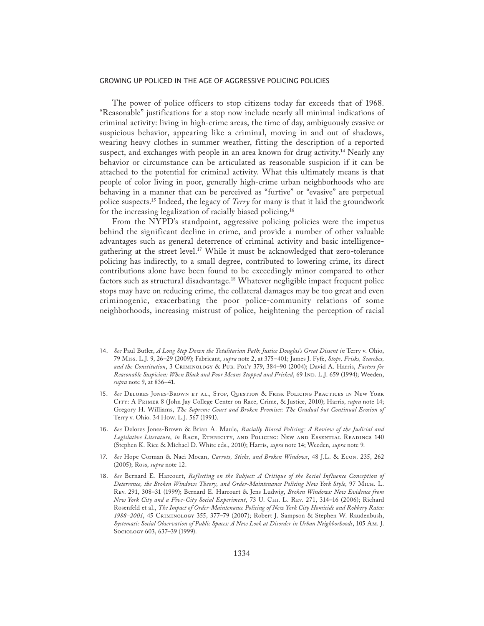The power of police officers to stop citizens today far exceeds that of 1968. "Reasonable" justifications for a stop now include nearly all minimal indications of criminal activity: living in high-crime areas, the time of day, ambiguously evasive or suspicious behavior, appearing like a criminal, moving in and out of shadows, wearing heavy clothes in summer weather, fitting the description of a reported suspect, and exchanges with people in an area known for drug activity.<sup>14</sup> Nearly any behavior or circumstance can be articulated as reasonable suspicion if it can be attached to the potential for criminal activity. What this ultimately means is that people of color living in poor, generally high-crime urban neighborhoods who are behaving in a manner that can be perceived as "furtive" or "evasive" are perpetual police suspects.15 Indeed, the legacy of *Terry* for many is that it laid the groundwork for the increasing legalization of racially biased policing.16

 From the NYPD's standpoint, aggressive policing policies were the impetus behind the significant decline in crime, and provide a number of other valuable advantages such as general deterrence of criminal activity and basic intelligencegathering at the street level.<sup>17</sup> While it must be acknowledged that zero-tolerance policing has indirectly, to a small degree, contributed to lowering crime, its direct contributions alone have been found to be exceedingly minor compared to other factors such as structural disadvantage.18 Whatever negligible impact frequent police stops may have on reducing crime, the collateral damages may be too great and even criminogenic, exacerbating the poor police-community relations of some neighborhoods, increasing mistrust of police, heightening the perception of racial

<sup>14.</sup> *See* Paul Butler, *A Long Step Down the Totalitarian Path: Justice Douglas's Great Dissent in* Terry v. Ohio, 79 Miss. L.J. 9, 26–29 (2009); Fabricant, *supra* note 2, at 375–401; James J. Fyfe, *Stops, Frisks, Searches, and the Constitution*, 3 Criminology & Pub. Pol'y 379, 384–90 (2004); David A. Harris, *Factors for*  Reasonable Suspicion: When Black and Poor Means Stopped and Frisked, 69 Inp. L.J. 659 (1994); Weeden, *supra* note 9, at 836–41.

<sup>15.</sup> *See* Delores Jones-Brown et al., Stop, Question & Frisk Policing Practices in New York City: A Primer 8 ( John Jay College Center on Race, Crime, & Justice, 2010); Harris, *supra* note 14; Gregory H. Williams, *The Supreme Court and Broken Promises: The Gradual but Continual Erosion of*  Terry v. Ohio*,* 34 How. L.J. 567 (1991).

<sup>16.</sup> *See* Delores Jones-Brown & Brian A. Maule, *Racially Biased Policing: A Review of the Judicial and*  Legislative Literature, in RACE, ETHNICITY, AND POLICING: NEW AND ESSENTIAL READINGS 140 (Stephen K. Rice & Michael D. White eds., 2010); Harris, *supra* note 14; Weeden*, supra* note 9.

<sup>17.</sup> *See* Hope Corman & Naci Mocan, *Carrots, Sticks, and Broken Windows*, 48 J.L. & Econ. 235, 262 (2005); Ross, *supra* note 12.

<sup>18.</sup> *See* Bernard E. Harcourt, *Reflecting on the Subject: A Critique of the Social Influence Conception of Deterrence, the Broken Windows Theory, and Order-Maintenance Policing New York Style*, 97 Mich. L. Rev. 291, 308–31 (1999); Bernard E. Harcourt & Jens Ludwig, *Broken Windows: New Evidence from New York City and a Five-City Social Experiment*, 73 U. Chi. L. Rev. 271, 314–16 (2006); Richard Rosenfeld et al., *The Impact of Order-Maintenance Policing of New York City Homicide and Robbery Rates: 1988–2001*, 45 Criminology 355, 377–79 (2007); Robert J. Sampson & Stephen W. Raudenbush, *Systematic Social Observation of Public Spaces: A New Look at Disorder in Urban Neighborhoods*, 105 Am. J. Sociology 603, 637-39 (1999).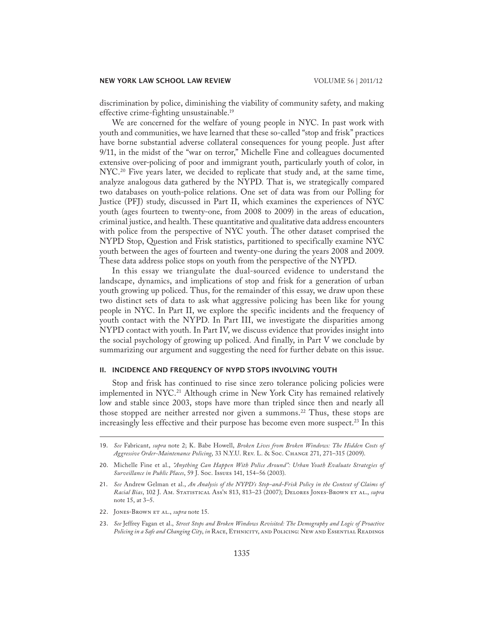discrimination by police, diminishing the viability of community safety, and making effective crime-fighting unsustainable.19

 We are concerned for the welfare of young people in NYC. In past work with youth and communities, we have learned that these so-called "stop and frisk" practices have borne substantial adverse collateral consequences for young people. Just after 9/11, in the midst of the "war on terror," Michelle Fine and colleagues documented extensive over-policing of poor and immigrant youth, particularly youth of color, in NYC.20 Five years later, we decided to replicate that study and, at the same time, analyze analogous data gathered by the NYPD. That is, we strategically compared two databases on youth-police relations. One set of data was from our Polling for Justice (PFJ) study, discussed in Part II, which examines the experiences of NYC youth (ages fourteen to twenty-one, from 2008 to 2009) in the areas of education, criminal justice, and health. These quantitative and qualitative data address encounters with police from the perspective of NYC youth. The other dataset comprised the NYPD Stop, Question and Frisk statistics, partitioned to specifically examine NYC youth between the ages of fourteen and twenty-one during the years 2008 and 2009. These data address police stops on youth from the perspective of the NYPD.

 In this essay we triangulate the dual-sourced evidence to understand the landscape, dynamics, and implications of stop and frisk for a generation of urban youth growing up policed. Thus, for the remainder of this essay, we draw upon these two distinct sets of data to ask what aggressive policing has been like for young people in NYC. In Part II, we explore the specific incidents and the frequency of youth contact with the NYPD. In Part III, we investigate the disparities among NYPD contact with youth. In Part IV, we discuss evidence that provides insight into the social psychology of growing up policed. And finally, in Part V we conclude by summarizing our argument and suggesting the need for further debate on this issue.

#### II. INCIDENCE AND FREQUENCY OF NYPD STOPS INVOLVING YOUTH

 Stop and frisk has continued to rise since zero tolerance policing policies were implemented in NYC.<sup>21</sup> Although crime in New York City has remained relatively low and stable since 2003, stops have more than tripled since then and nearly all those stopped are neither arrested nor given a summons.<sup>22</sup> Thus, these stops are increasingly less effective and their purpose has become even more suspect.<sup>23</sup> In this

<sup>19.</sup> *See* Fabricant, *supra* note 2; K. Babe Howell, *Broken Lives from Broken Windows: The Hidden Costs of Aggressive Order-Maintenance Policing*, 33 N.Y.U. Rev. L. & Soc. Change 271, 271–315 (2009).

<sup>20.</sup> Michelle Fine et al., *"Anything Can Happen With Police Around": Urban Youth Evaluate Strategies of Surveillance in Public Places*, 59 J. Soc. Issues 141, 154–56 (2003).

<sup>21.</sup> *See* Andrew Gelman et al., *An Analysis of the NYPD's Stop-and-Frisk Policy in the Context of Claims of Racial Bias*, 102 J. Am. Statistical Ass'n 813, 813–23 (2007); Delores Jones-Brown et al., *supra* note 15, at 3–5.

<sup>22.</sup> Jones-Brown et al., *supra* note 15.

<sup>23.</sup> *See* Jeffrey Fagan et al., *Street Stops and Broken Windows Revisited: The Demography and Logic of Proactive Policing in a Safe and Changing City*, *in* Race, Ethnicity, and Policing: New and Essential Readings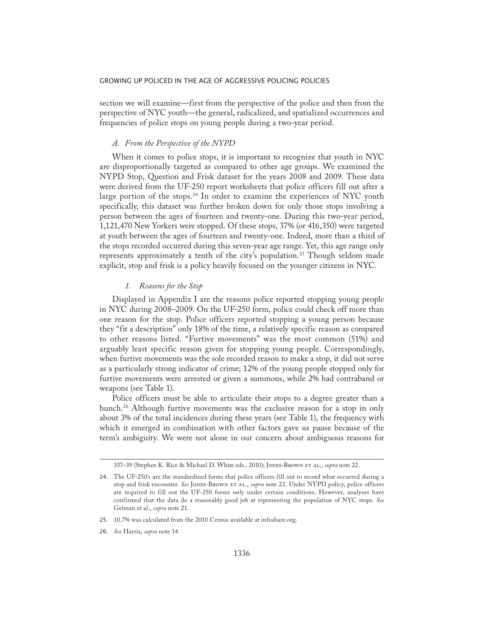section we will examine—first from the perspective of the police and then from the perspective of NYC youth—the general, radicalized, and spatialized occurrences and frequencies of police stops on young people during a two-year period.

#### *A. From the Perspective of the NYPD*

 When it comes to police stops, it is important to recognize that youth in NYC are disproportionally targeted as compared to other age groups. We examined the NYPD Stop, Question and Frisk dataset for the years 2008 and 2009. These data were derived from the UF-250 report worksheets that police officers fill out after a large portion of the stops.<sup>24</sup> In order to examine the experiences of NYC youth specifically, this dataset was further broken down for only those stops involving a person between the ages of fourteen and twenty-one. During this two-year period, 1,121,470 New Yorkers were stopped. Of these stops, 37% (or 416,350) were targeted at youth between the ages of fourteen and twenty-one. Indeed, more than a third of the stops recorded occurred during this seven-year age range. Yet, this age range only represents approximately a tenth of the city's population.<sup>25</sup> Though seldom made explicit, stop and frisk is a policy heavily focused on the younger citizens in NYC.

#### *1. Reasons for the Stop*

 Displayed in Appendix I are the reasons police reported stopping young people in NYC during 2008–2009. On the UF-250 form, police could check off more than one reason for the stop. Police officers reported stopping a young person because they "fit a description" only 18% of the time, a relatively specific reason as compared to other reasons listed. "Furtive movements" was the most common (51%) and arguably least specific reason given for stopping young people. Correspondingly, when furtive movements was the sole recorded reason to make a stop, it did not serve as a particularly strong indicator of crime; 12% of the young people stopped only for furtive movements were arrested or given a summons, while 2% had contraband or weapons (see Table 1).

 Police officers must be able to articulate their stops to a degree greater than a hunch.<sup>26</sup> Although furtive movements was the exclusive reason for a stop in only about 3% of the total incidences during these years (see Table 1), the frequency with which it emerged in combination with other factors gave us pause because of the term's ambiguity. We were not alone in our concern about ambiguous reasons for

<sup>337-39 (</sup>Stephen K. Rice & Michael D. White eds., 2010); JONES-BROWN ET AL., *supra* note 22.

<sup>24.</sup> The UF-250's are the standardized forms that police officers fill out to record what occurred during a stop and frisk encounter. *See* Jones-Brown et al., *supra* note 22. Under NYPD policy, police officers are required to fill out the UF-250 forms only under certain conditions. However, analyses have confirmed that the data do a reasonably good job at representing the population of NYC stops. *See*  Gelman et al., *supra* note 21.

<sup>25.</sup> 10.7% was calculated from the 2010 Census available at infoshare.org.

<sup>26.</sup> *See* Harris, *supra* note 14.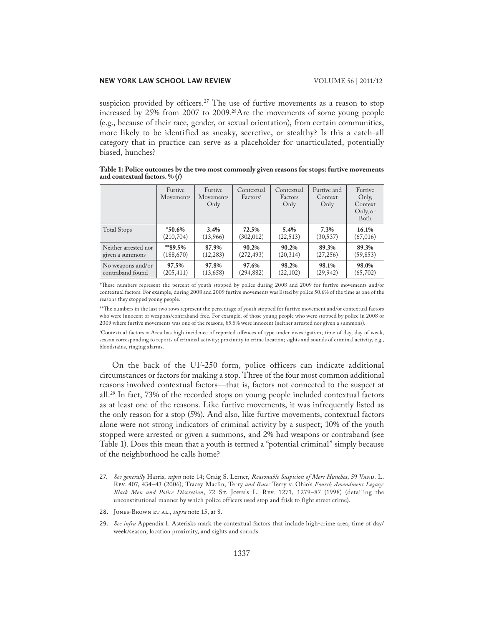suspicion provided by officers.<sup>27</sup> The use of furtive movements as a reason to stop increased by 25% from 2007 to 2009.28Are the movements of some young people (e.g., because of their race, gender, or sexual orientation), from certain communities, more likely to be identified as sneaky, secretive, or stealthy? Is this a catch-all category that in practice can serve as a placeholder for unarticulated, potentially biased, hunches?

**Table 1: Police outcomes by the two most commonly given reasons for stops: furtive movements and contextual factors. % (***f***)**

|                      | Furtive<br>Movements | Furtive<br>Movements<br>Only | Contextual<br>Factors <sup>a</sup> | Contextual<br>Factors<br>Only | Furtive and<br>Context<br>Only | Furtive<br>Only,<br>Context<br>Only, or<br>Both |
|----------------------|----------------------|------------------------------|------------------------------------|-------------------------------|--------------------------------|-------------------------------------------------|
| <b>Total Stops</b>   | $*50.6\%$            | $3.4\%$                      | 72.5%                              | $5.4\%$                       | 7.3%                           | 16.1%                                           |
|                      | (210, 704)           | (13,966)                     | (302, 012)                         | (22, 513)                     | (30, 537)                      | (67,016)                                        |
| Neither arrested nor | **89.5%              | 87.9%                        | 90.2%                              | 90.2%                         | 89.3%                          | 89.3%                                           |
| given a summons      | (188, 670)           | (12, 283)                    | (272, 493)                         | (20, 314)                     | (27, 256)                      | (59, 853)                                       |
| No weapons and/or    | 97.5%                | 97.8%                        | 97.6%                              | 98.2%                         | 98.1%                          | 98.0%                                           |
| contraband found     | (205, 411)           | (13, 658)                    | (294, 882)                         | (22, 102)                     | (29, 942)                      | (65,702)                                        |

\*8ese numbers represent the percent of youth stopped by police during 2008 and 2009 for furtive movements and/or contextual factors. For example, during 2008 and 2009 furtive movements was listed by police 50.6% of the time as one of the reasons they stopped young people.

\*\*The numbers in the last two rows represent the percentage of youth stopped for furtive movement and/or contextual factors who were innocent or weapons/contraband-free. For example, of those young people who were stopped by police in 2008 or 2009 where furtive movements was one of the reasons, 89.5% were innocent (neither arrested nor given a summons).

Contextual factors = Area has high incidence of reported offences of type under investigation; time of day, day of week, season corresponding to reports of criminal activity; proximity to crime location; sights and sounds of criminal activity, e.g., bloodstains, ringing alarms.

 On the back of the UF-250 form, police officers can indicate additional circumstances or factors for making a stop. Three of the four most common additional reasons involved contextual factors—that is, factors not connected to the suspect at all.<sup>29</sup> In fact, 73% of the recorded stops on young people included contextual factors as at least one of the reasons. Like furtive movements, it was infrequently listed as the only reason for a stop (5%). And also, like furtive movements, contextual factors alone were not strong indicators of criminal activity by a suspect; 10% of the youth stopped were arrested or given a summons, and 2% had weapons or contraband (see Table 1). Does this mean that a youth is termed a "potential criminal" simply because of the neighborhood he calls home?

<sup>27.</sup> *See generally* Harris, *supra* note 14; Craig S. Lerner, *Reasonable Suspicion of Mere Hunches*, 59 Vand. L. Rev. 407, 434–43 (2006); Tracey Maclin, Terry *and Race:* Terry v. Ohio's *Fourth Amendment Legacy: Black Men and Police Discretion*, 72 St. John's L. Rev. 1271, 1279–87 (1998) (detailing the unconstitutional manner by which police officers used stop and frisk to fight street crime).

<sup>28.</sup> JONES-BROWN ET AL., *supra* note 15, at 8.

<sup>29.</sup> *See infra* Appendix I. Asterisks mark the contextual factors that include high-crime area, time of day/ week/season, location proximity, and sights and sounds.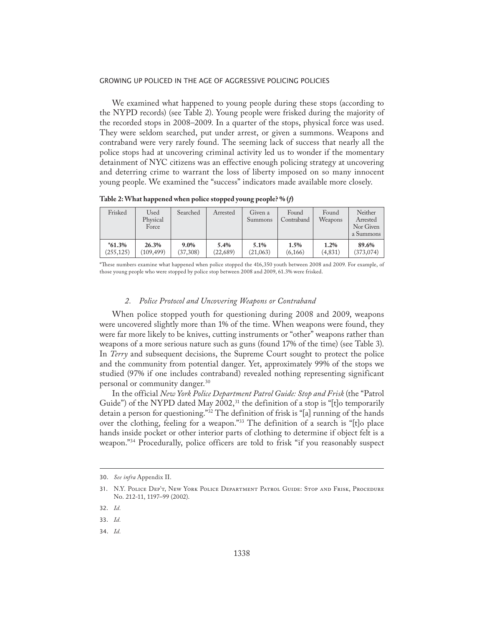We examined what happened to young people during these stops (according to the NYPD records) (see Table 2). Young people were frisked during the majority of the recorded stops in 2008–2009. In a quarter of the stops, physical force was used. They were seldom searched, put under arrest, or given a summons. Weapons and contraband were very rarely found. The seeming lack of success that nearly all the police stops had at uncovering criminal activity led us to wonder if the momentary detainment of NYC citizens was an effective enough policing strategy at uncovering and deterring crime to warrant the loss of liberty imposed on so many innocent young people. We examined the "success" indicators made available more closely.

**Table 2: What happened when police stopped young people? % (***f***)**

| Frisked    | Used<br>Physical<br>Force | Searched | Arrested | Given a<br>Summons | Found<br>Contraband | Found<br>Weapons | Neither<br>Arrested<br>Nor Given<br>a Summons |
|------------|---------------------------|----------|----------|--------------------|---------------------|------------------|-----------------------------------------------|
| $*61.3\%$  | 26.3%                     | 9.0%     | 5.4%     | 5.1%               | 1.5%                | 1.2%             | 89.6%                                         |
| (255, 125) | (109, 499)                | (37,308) | (22,689) | (21,063)           | (6, 166)            | (4, 831)         | (373, 074)                                    |

\*8ese numbers examine what happened when police stopped the 416,350 youth between 2008 and 2009. For example, of those young people who were stopped by police stop between 2008 and 2009, 61.3% were frisked.

#### *2. Police Protocol and Uncovering Weapons or Contraband*

 When police stopped youth for questioning during 2008 and 2009, weapons were uncovered slightly more than 1% of the time. When weapons were found, they were far more likely to be knives, cutting instruments or "other" weapons rather than weapons of a more serious nature such as guns (found 17% of the time) (see Table 3). In *Terry* and subsequent decisions, the Supreme Court sought to protect the police and the community from potential danger. Yet, approximately 99% of the stops we studied (97% if one includes contraband) revealed nothing representing significant personal or community danger.30

 In the official *New York Police Department Patrol Guide: Stop and Frisk* (the "Patrol Guide") of the NYPD dated May 2002,<sup>31</sup> the definition of a stop is "[t]o temporarily detain a person for questioning."32 The definition of frisk is "[a] running of the hands over the clothing, feeling for a weapon."33 The definition of a search is "[t]o place hands inside pocket or other interior parts of clothing to determine if object felt is a weapon."34 Procedurally, police officers are told to frisk "if you reasonably suspect

34. *Id.*

<sup>30.</sup> *See infra* Appendix II.

<sup>31.</sup> N.Y. Police Dep't, New York Police Department Patrol Guide: Stop and Frisk, Procedure No. 212-11, 1197–99 (2002).

<sup>32.</sup> *Id.*

<sup>33.</sup> *Id.*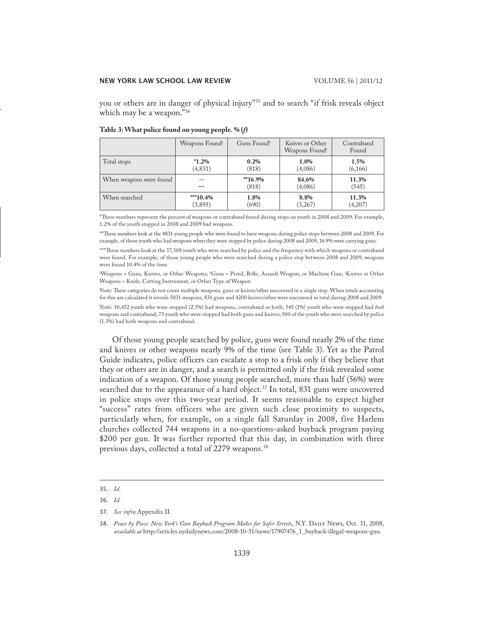you or others are in danger of physical injury"35 and to search "if frisk reveals object which may be a weapon."36

|                         | Weapons Found <sup>a</sup> | Guns Found <sup>b</sup> | Knives or Other<br>Weapons Found <sup>c</sup> | Contraband<br>Found |
|-------------------------|----------------------------|-------------------------|-----------------------------------------------|---------------------|
| Total stops             | $*1.2\%$                   | $0.2\%$                 | 1.0%                                          | 1.5%                |
|                         | (4,831)                    | (818)                   | (4,086)                                       | (6, 166)            |
| When weapons were found |                            | $*16.9\%$<br>(818)      | 84.6%<br>(4,086)                              | 11.3%<br>(545)      |
| When searched           | ***10.4%                   | 1.8%                    | 8.8%                                          | 11.3%               |
|                         | (3,895)                    | (690)                   | (3,267)                                       | (4,207)             |

#### **Table 3: What police found on young people. % (***f***)**

\*8ese numbers represent the percent of weapons or contraband found during stops on youth in 2008 and 2009. For example, 1.2% of the youth stopped in 2008 and 2009 had weapons.

\*\* These numbers look at the 4831 young people who were found to have weapons during police stops between 2008 and 2009. For example, of those youth who had weapons when they were stopped by police during 2008 and 2009, 16.9% were carrying guns.

\*\*\*These numbers look at the 37,308 youth who were searched by police and the frequency with which weapons or contraband were found. For example, of those young people who were searched during a police stop between 2008 and 2009, weapons were found 10.4% of the time.

"Weapons = Guns, Knives, or Other Weapons; "Guns = Pistol, Rifle, Assault Weapon, or Machine Gun; "Knives or Other Weapons = Knife, Cutting Instrument, or Other Type of Weapon

Note: These categories do not count multiple weapons, guns or knives/other uncovered in a single stop. When totals accounting for this are calculated it reveals 5031 weapons, 831 guns and 4200 knives/other were uncovered in total during 2008 and 2009.

Note: 10,452 youth who were stopped (2.5%) had weapons, contraband or both; 545 (1%) youth who were stopped had *both* weapons and contraband; 73 youth who were stopped had both guns and knives; 500 of the youth who were searched by police (1.3%) had both weapons and contraband.

 Of those young people searched by police, guns were found nearly 2% of the time and knives or other weapons nearly 9% of the time (see Table 3). Yet as the Patrol Guide indicates, police officers can escalate a stop to a frisk only if they believe that they or others are in danger, and a search is permitted only if the frisk revealed some indication of a weapon. Of those young people searched, more than half (56%) were searched due to the appearance of a hard object.<sup>37</sup> In total, 831 guns were uncovered in police stops over this two-year period. It seems reasonable to expect higher "success" rates from officers who are given such close proximity to suspects, particularly when, for example, on a single fall Saturday in 2008, five Harlem churches collected 744 weapons in a no-questions-asked buyback program paying \$200 per gun. It was further reported that this day, in combination with three previous days, collected a total of 2279 weapons.<sup>38</sup>

<sup>35.</sup> *Id.*

<sup>36.</sup> *Id.*

<sup>37.</sup> *See infra* Appendix II.

<sup>38.</sup> *Peace by Piece: New York's Gun Buyback Program Makes for Safer Streets*, N.Y. Daily News, Oct. 31, 2008, *available at* http://articles.nydailynews.com/2008-10-31/news/17907476\_1\_buyback-illegal-weapons-gun.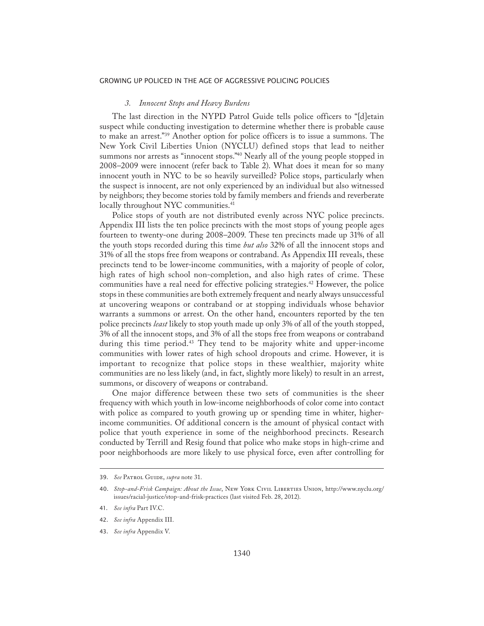#### *3. Innocent Stops and Heavy Burdens*

 The last direction in the NYPD Patrol Guide tells police officers to "[d]etain suspect while conducting investigation to determine whether there is probable cause to make an arrest."39 Another option for police officers is to issue a summons. The New York Civil Liberties Union (NYCLU) defined stops that lead to neither summons nor arrests as "innocent stops."40 Nearly all of the young people stopped in 2008–2009 were innocent (refer back to Table 2). What does it mean for so many innocent youth in NYC to be so heavily surveilled? Police stops, particularly when the suspect is innocent, are not only experienced by an individual but also witnessed by neighbors; they become stories told by family members and friends and reverberate locally throughout NYC communities.<sup>41</sup>

 Police stops of youth are not distributed evenly across NYC police precincts. Appendix III lists the ten police precincts with the most stops of young people ages fourteen to twenty-one during 2008–2009. These ten precincts made up 31% of all the youth stops recorded during this time *but also* 32% of all the innocent stops and 31% of all the stops free from weapons or contraband. As Appendix III reveals, these precincts tend to be lower-income communities, with a majority of people of color, high rates of high school non-completion, and also high rates of crime. These communities have a real need for effective policing strategies.42 However, the police stops in these communities are both extremely frequent and nearly always unsuccessful at uncovering weapons or contraband or at stopping individuals whose behavior warrants a summons or arrest. On the other hand, encounters reported by the ten police precincts *least* likely to stop youth made up only 3% of all of the youth stopped, 3% of all the innocent stops, and 3% of all the stops free from weapons or contraband during this time period.<sup>43</sup> They tend to be majority white and upper-income communities with lower rates of high school dropouts and crime. However, it is important to recognize that police stops in these wealthier, majority white communities are no less likely (and, in fact, slightly more likely) to result in an arrest, summons, or discovery of weapons or contraband.

 One major difference between these two sets of communities is the sheer frequency with which youth in low-income neighborhoods of color come into contact with police as compared to youth growing up or spending time in whiter, higherincome communities. Of additional concern is the amount of physical contact with police that youth experience in some of the neighborhood precincts. Research conducted by Terrill and Resig found that police who make stops in high-crime and poor neighborhoods are more likely to use physical force, even after controlling for

<sup>39.</sup> *See* Patrol Guide, *supra* note 31.

<sup>40.</sup> *Stop-and-Frisk Campaign: About the Issue*, New York Civil Liberties Union, http://www.nyclu.org/ issues/racial-justice/stop-and-frisk-practices (last visited Feb. 28, 2012).

<sup>41.</sup> *See infra* Part IV.C.

<sup>42.</sup> *See infra* Appendix III.

<sup>43.</sup> *See infra* Appendix V.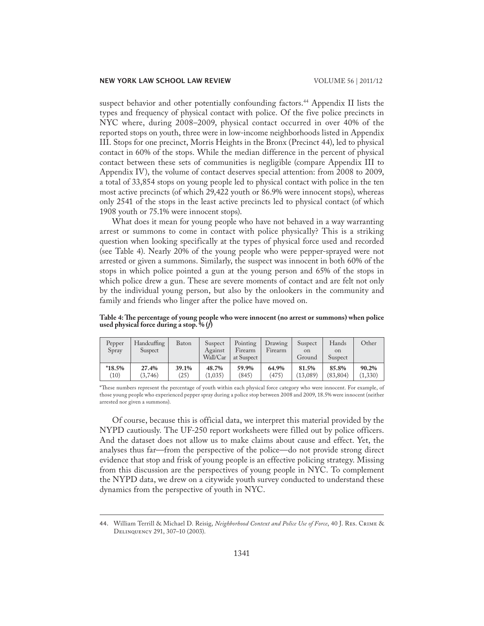suspect behavior and other potentially confounding factors.<sup>44</sup> Appendix II lists the types and frequency of physical contact with police. Of the five police precincts in NYC where, during 2008–2009, physical contact occurred in over 40% of the reported stops on youth, three were in low-income neighborhoods listed in Appendix III. Stops for one precinct, Morris Heights in the Bronx (Precinct 44), led to physical contact in 60% of the stops. While the median difference in the percent of physical contact between these sets of communities is negligible (compare Appendix III to Appendix IV), the volume of contact deserves special attention: from 2008 to 2009, a total of 33,854 stops on young people led to physical contact with police in the ten most active precincts (of which 29,422 youth or 86.9% were innocent stops), whereas only 2541 of the stops in the least active precincts led to physical contact (of which 1908 youth or 75.1% were innocent stops).

 What does it mean for young people who have not behaved in a way warranting arrest or summons to come in contact with police physically? This is a striking question when looking specifically at the types of physical force used and recorded (see Table 4). Nearly 20% of the young people who were pepper-sprayed were not arrested or given a summons. Similarly, the suspect was innocent in both 60% of the stops in which police pointed a gun at the young person and 65% of the stops in which police drew a gun. These are severe moments of contact and are felt not only by the individual young person, but also by the onlookers in the community and family and friends who linger after the police have moved on.

Table 4: The percentage of young people who were innocent (no arrest or summons) when police used physical force during a stop. % (*f*)

| Pepper<br>Spray | Handcuffing<br>Suspect | Baton | Suspect<br>Against<br>Wall/Car | Pointing<br>Firearm<br>at Suspect | Drawing<br>Firearm | Suspect<br>on<br>Ground | Hands<br><sub>on</sub><br>Suspect | Other    |
|-----------------|------------------------|-------|--------------------------------|-----------------------------------|--------------------|-------------------------|-----------------------------------|----------|
| $*18.5%$        | 27.4%                  | 39.1% | 48.7%                          | 59.9%                             | 64.9%              | 81.5%                   | 85.8%                             | 90.2%    |
| (10)            | (3.746)                | (25)  | (1,035)                        | (845)                             | (475)              | (13,089)                | (83, 804)                         | (1, 330) |

\*8ese numbers represent the percentage of youth within each physical force category who were innocent. For example, of those young people who experienced pepper spray during a police stop between 2008 and 2009, 18.5% were innocent (neither arrested nor given a summons).

 Of course, because this is official data, we interpret this material provided by the NYPD cautiously. The UF-250 report worksheets were filled out by police officers. And the dataset does not allow us to make claims about cause and effect. Yet, the analyses thus far—from the perspective of the police—do not provide strong direct evidence that stop and frisk of young people is an effective policing strategy. Missing from this discussion are the perspectives of young people in NYC. To complement the NYPD data, we drew on a citywide youth survey conducted to understand these dynamics from the perspective of youth in NYC.

<sup>44.</sup> William Terrill & Michael D. Reisig, *Neighborhood Context and Police Use of Force*, 40 J. Res. Crime & Delinquency 291, 307–10 (2003).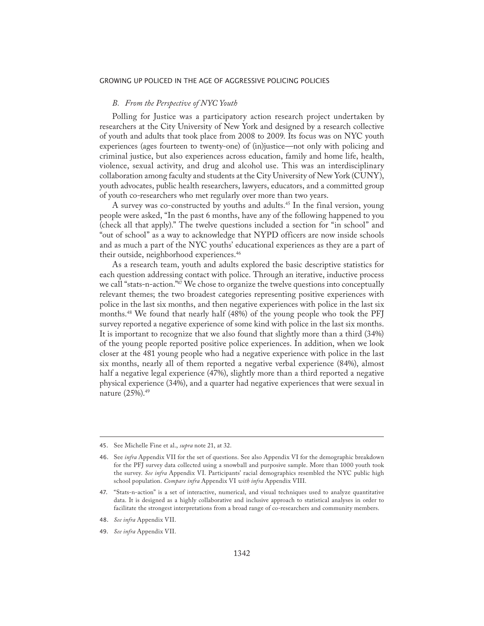#### *B. From the Perspective of NYC Youth*

 Polling for Justice was a participatory action research project undertaken by researchers at the City University of New York and designed by a research collective of youth and adults that took place from 2008 to 2009. Its focus was on NYC youth experiences (ages fourteen to twenty-one) of (in)justice—not only with policing and criminal justice, but also experiences across education, family and home life, health, violence, sexual activity, and drug and alcohol use. This was an interdisciplinary collaboration among faculty and students at the City University of New York (CUNY), youth advocates, public health researchers, lawyers, educators, and a committed group of youth co-researchers who met regularly over more than two years.

A survey was co-constructed by youths and adults.<sup>45</sup> In the final version, young people were asked, "In the past 6 months, have any of the following happened to you (check all that apply)." The twelve questions included a section for "in school" and "out of school" as a way to acknowledge that NYPD officers are now inside schools and as much a part of the NYC youths' educational experiences as they are a part of their outside, neighborhood experiences.<sup>46</sup>

 As a research team, youth and adults explored the basic descriptive statistics for each question addressing contact with police. Through an iterative, inductive process we call "stats-n-action."<sup>47</sup> We chose to organize the twelve questions into conceptually relevant themes; the two broadest categories representing positive experiences with police in the last six months, and then negative experiences with police in the last six months.48 We found that nearly half (48%) of the young people who took the PFJ survey reported a negative experience of some kind with police in the last six months. It is important to recognize that we also found that slightly more than a third (34%) of the young people reported positive police experiences. In addition, when we look closer at the 481 young people who had a negative experience with police in the last six months, nearly all of them reported a negative verbal experience (84%), almost half a negative legal experience (47%), slightly more than a third reported a negative physical experience (34%), and a quarter had negative experiences that were sexual in nature (25%).<sup>49</sup>

<sup>45.</sup> See Michelle Fine et al., *supra* note 21, at 32.

<sup>46.</sup> See *infra* Appendix VII for the set of questions. See also Appendix VI for the demographic breakdown for the PFJ survey data collected using a snowball and purposive sample. More than 1000 youth took the survey. *See infra* Appendix VI. Participants' racial demographics resembled the NYC public high school population. *Compare infra* Appendix VI *with infra* Appendix VIII.

<sup>47.</sup> "Stats-n-action" is a set of interactive, numerical, and visual techniques used to analyze quantitative data. It is designed as a highly collaborative and inclusive approach to statistical analyses in order to facilitate the strongest interpretations from a broad range of co-researchers and community members.

<sup>48.</sup> *See infra* Appendix VII.

<sup>49.</sup> *See infra* Appendix VII.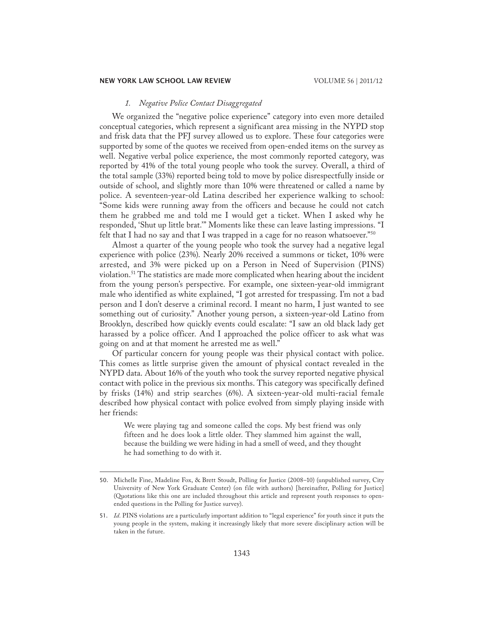#### *1. Negative Police Contact Disaggregated*

 We organized the "negative police experience" category into even more detailed conceptual categories, which represent a significant area missing in the NYPD stop and frisk data that the PFJ survey allowed us to explore. These four categories were supported by some of the quotes we received from open-ended items on the survey as well. Negative verbal police experience, the most commonly reported category, was reported by 41% of the total young people who took the survey. Overall, a third of the total sample (33%) reported being told to move by police disrespectfully inside or outside of school, and slightly more than 10% were threatened or called a name by police. A seventeen-year-old Latina described her experience walking to school: "Some kids were running away from the officers and because he could not catch them he grabbed me and told me I would get a ticket. When I asked why he responded, 'Shut up little brat.'" Moments like these can leave lasting impressions. "I felt that I had no say and that I was trapped in a cage for no reason whatsoever."50

 Almost a quarter of the young people who took the survey had a negative legal experience with police (23%). Nearly 20% received a summons or ticket, 10% were arrested, and 3% were picked up on a Person in Need of Supervision (PINS) violation.51 The statistics are made more complicated when hearing about the incident from the young person's perspective. For example, one sixteen-year-old immigrant male who identified as white explained, "I got arrested for trespassing. I'm not a bad person and I don't deserve a criminal record. I meant no harm, I just wanted to see something out of curiosity." Another young person, a sixteen-year-old Latino from Brooklyn, described how quickly events could escalate: "I saw an old black lady get harassed by a police officer. And I approached the police officer to ask what was going on and at that moment he arrested me as well."

 Of particular concern for young people was their physical contact with police. This comes as little surprise given the amount of physical contact revealed in the NYPD data. About 16% of the youth who took the survey reported negative physical contact with police in the previous six months. This category was specifically defined by frisks (14%) and strip searches (6%). A sixteen-year-old multi-racial female described how physical contact with police evolved from simply playing inside with her friends:

We were playing tag and someone called the cops. My best friend was only fifteen and he does look a little older. They slammed him against the wall, because the building we were hiding in had a smell of weed, and they thought he had something to do with it.

<sup>50.</sup> Michelle Fine, Madeline Fox, & Brett Stoudt, Polling for Justice (2008–10) (unpublished survey, City University of New York Graduate Center) (on file with authors) [hereinafter, Polling for Justice] (Quotations like this one are included throughout this article and represent youth responses to openended questions in the Polling for Justice survey).

<sup>51.</sup> *Id.* PINS violations are a particularly important addition to "legal experience" for youth since it puts the young people in the system, making it increasingly likely that more severe disciplinary action will be taken in the future.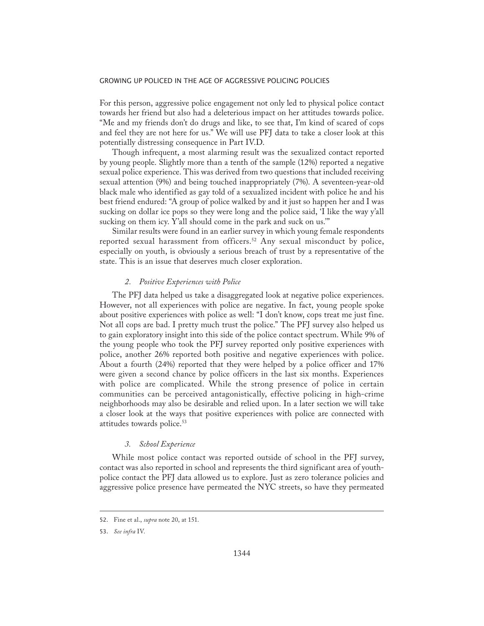For this person, aggressive police engagement not only led to physical police contact towards her friend but also had a deleterious impact on her attitudes towards police. "Me and my friends don't do drugs and like, to see that, I'm kind of scared of cops and feel they are not here for us." We will use PFJ data to take a closer look at this potentially distressing consequence in Part IV.D.

 Though infrequent, a most alarming result was the sexualized contact reported by young people. Slightly more than a tenth of the sample (12%) reported a negative sexual police experience. This was derived from two questions that included receiving sexual attention (9%) and being touched inappropriately (7%). A seventeen-year-old black male who identified as gay told of a sexualized incident with police he and his best friend endured: "A group of police walked by and it just so happen her and I was sucking on dollar ice pops so they were long and the police said, 'I like the way y'all sucking on them icy. Y'all should come in the park and suck on us.'"

 Similar results were found in an earlier survey in which young female respondents reported sexual harassment from officers.<sup>52</sup> Any sexual misconduct by police, especially on youth, is obviously a serious breach of trust by a representative of the state. This is an issue that deserves much closer exploration.

#### *2. Positive Experiences with Police*

 The PFJ data helped us take a disaggregated look at negative police experiences. However, not all experiences with police are negative. In fact, young people spoke about positive experiences with police as well: "I don't know, cops treat me just fine. Not all cops are bad. I pretty much trust the police." The PFJ survey also helped us to gain exploratory insight into this side of the police contact spectrum. While 9% of the young people who took the PFJ survey reported only positive experiences with police, another 26% reported both positive and negative experiences with police. About a fourth (24%) reported that they were helped by a police officer and 17% were given a second chance by police officers in the last six months. Experiences with police are complicated. While the strong presence of police in certain communities can be perceived antagonistically, effective policing in high-crime neighborhoods may also be desirable and relied upon. In a later section we will take a closer look at the ways that positive experiences with police are connected with attitudes towards police.53

#### *3. School Experience*

While most police contact was reported outside of school in the PFJ survey, contact was also reported in school and represents the third significant area of youthpolice contact the PFJ data allowed us to explore. Just as zero tolerance policies and aggressive police presence have permeated the NYC streets, so have they permeated

<sup>52.</sup> Fine et al., *supra* note 20, at 151.

<sup>53.</sup> *See infra* IV.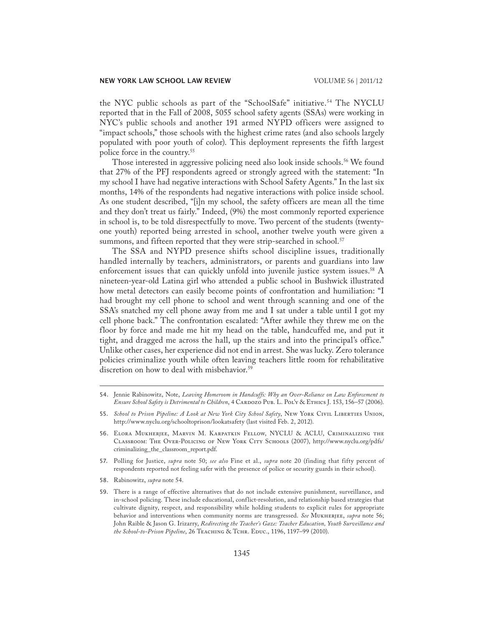the NYC public schools as part of the "SchoolSafe" initiative.54 The NYCLU reported that in the Fall of 2008, 5055 school safety agents (SSAs) were working in NYC's public schools and another 191 armed NYPD officers were assigned to "impact schools," those schools with the highest crime rates (and also schools largely populated with poor youth of color). This deployment represents the fifth largest police force in the country.55

Those interested in aggressive policing need also look inside schools.<sup>56</sup> We found that 27% of the PFJ respondents agreed or strongly agreed with the statement: "In my school I have had negative interactions with School Safety Agents." In the last six months, 14% of the respondents had negative interactions with police inside school. As one student described, "[i]n my school, the safety officers are mean all the time and they don't treat us fairly." Indeed, (9%) the most commonly reported experience in school is, to be told disrespectfully to move. Two percent of the students (twentyone youth) reported being arrested in school, another twelve youth were given a summons, and fifteen reported that they were strip-searched in school.<sup>57</sup>

 The SSA and NYPD presence shifts school discipline issues, traditionally handled internally by teachers, administrators, or parents and guardians into law enforcement issues that can quickly unfold into juvenile justice system issues.<sup>58</sup>  $\Lambda$ nineteen-year-old Latina girl who attended a public school in Bushwick illustrated how metal detectors can easily become points of confrontation and humiliation: "I had brought my cell phone to school and went through scanning and one of the SSA's snatched my cell phone away from me and I sat under a table until I got my cell phone back." The confrontation escalated: "After awhile they threw me on the floor by force and made me hit my head on the table, handcuffed me, and put it tight, and dragged me across the hall, up the stairs and into the principal's office." Unlike other cases, her experience did not end in arrest. She was lucky. Zero tolerance policies criminalize youth while often leaving teachers little room for rehabilitative discretion on how to deal with misbehavior.<sup>59</sup>

- 57. Polling for Justice, *supra* note 50; *see also* Fine et al., *supra* note 20 (finding that fifty percent of respondents reported not feeling safer with the presence of police or security guards in their school).
- 58. Rabinowitz, *supra* note 54.
- 59. There is a range of effective alternatives that do not include extensive punishment, surveillance, and in-school policing. These include educational, conflict-resolution, and relationship based strategies that cultivate dignity, respect, and responsibility while holding students to explicit rules for appropriate behavior and interventions when community norms are transgressed. *See* Mukherjee, *supra* note 56; John Raible & Jason G. Irizarry, *Redirecting the Teacher's Gaze: Teacher Education, Youth Surveillance and the School-to-Prison Pipeline*, 26 Teaching & Tchr. Educ., 1196, 1197–99 (2010).

<sup>54.</sup> Jennie Rabinowitz, Note, *Leaving Homeroom in Handcuffs: Why an Over-Reliance on Law Enforcement to Ensure School Safety is Detrimental to Children*, 4 CARDOZO PUB. L. POL'Y & ETHICS J. 153, 156–57 (2006).

<sup>55.</sup> School to Prison Pipeline: A Look at New York City School Safety, New York Civil Liberties Union, http://www.nyclu.org/schooltoprison/lookatsafety (last visited Feb. 2, 2012).

<sup>56.</sup> Elora Mukherjee, Marvin M. Karpatkin Fellow, NYCLU & ACLU, Criminalizing the Classroom: The Over-Policing of New York City Schools (2007), http://www.nyclu.org/pdfs/ criminalizing\_the\_classroom\_report.pdf.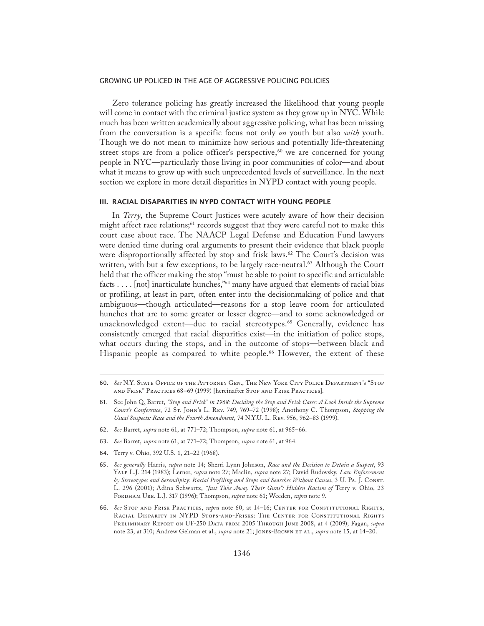Zero tolerance policing has greatly increased the likelihood that young people will come in contact with the criminal justice system as they grow up in NYC. While much has been written academically about aggressive policing, what has been missing from the conversation is a specific focus not only *on* youth but also *with* youth. Though we do not mean to minimize how serious and potentially life-threatening street stops are from a police officer's perspective, $60$  we are concerned for young people in NYC—particularly those living in poor communities of color—and about what it means to grow up with such unprecedented levels of surveillance. In the next section we explore in more detail disparities in NYPD contact with young people.

#### III. RACIAL DISAPARITIES IN NYPD CONTACT WITH YOUNG PEOPLE

 In *Terry*, the Supreme Court Justices were acutely aware of how their decision might affect race relations;<sup>61</sup> records suggest that they were careful not to make this court case about race. The NAACP Legal Defense and Education Fund lawyers were denied time during oral arguments to present their evidence that black people were disproportionally affected by stop and frisk laws.<sup>62</sup> The Court's decision was written, with but a few exceptions, to be largely race-neutral.<sup>63</sup> Although the Court held that the officer making the stop "must be able to point to specific and articulable facts . . . . [not] inarticulate hunches,<sup>764</sup> many have argued that elements of racial bias or profiling, at least in part, often enter into the decisionmaking of police and that ambiguous—though articulated—reasons for a stop leave room for articulated hunches that are to some greater or lesser degree—and to some acknowledged or unacknowledged extent-due to racial stereotypes.<sup>65</sup> Generally, evidence has consistently emerged that racial disparities exist-in the initiation of police stops, what occurs during the stops, and in the outcome of stops—between black and Hispanic people as compared to white people.<sup>66</sup> However, the extent of these

- 62. *See* Barret, *supra* note 61, at 771–72; Thompson, *supra* note 61, at 965–66.
- 63. *See* Barret, *supra* note 61, at 771–72; Thompson, *supra* note 61, at 964.
- 64. Terry v. Ohio, 392 U.S. 1, 21–22 (1968).
- 65. *See generally* Harris, *supra* note 14; Sherri Lynn Johnson, *Race and the Decision to Detain a Suspect*, 93 Yale L.J. 214 (1983); Lerner, *supra* note 27; Maclin, *supra* note 27; David Rudovsky, *Law Enforcement by Stereotypes and Serendipity: Racial Profiling and Stops and Searches Without Causes*, 3 U. Pa. J. Const. L. 296 (2001); Adina Schwartz, *"Just Take Away Their Guns": Hidden Racism of* Terry v. Ohio, 23 Fordham Urb. L.J. 317 (1996); Thompson, *supra* note 61; Weeden, *supra* note 9.
- 66. *See* Stop and Frisk Practices, *supra* note 60, at 14–16; Center for Constitutional Rights, Racial Disparity in NYPD Stops-and-Frisks: The Center for Constitutional Rights Preliminary Report on UF-250 Data from 2005 Through June 2008, at 4 (2009); Fagan, *supra*  note 23, at 310; Andrew Gelman et al., *supra* note 21; Jones-Brown et al., *supra* note 15, at 14–20.

<sup>60.</sup> *See* N.Y. State Office of the Attorney Gen., The New York City Police Department's "Stop and Frisk" Practices 68–69 (1999) [hereinafter Stop and Frisk Practices].

<sup>61.</sup> See John Q. Barret, *"Stop and Frisk" in 1968: Deciding the Stop and Frisk Cases: A Look Inside the Supreme Court's Conference*, 72 St. John's L. Rev. 749, 769–72 (1998); Anothony C. Thompson, *Stopping the Usual Suspects: Race and the Fourth Amendment*, 74 N.Y.U. L. Rev. 956, 962–83 (1999).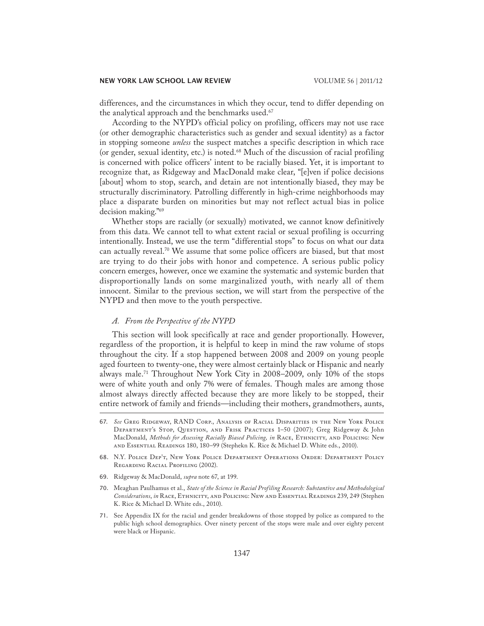differences, and the circumstances in which they occur, tend to differ depending on the analytical approach and the benchmarks used.<sup>67</sup>

 According to the NYPD's official policy on profiling, officers may not use race (or other demographic characteristics such as gender and sexual identity) as a factor in stopping someone *unless* the suspect matches a specific description in which race (or gender, sexual identity, etc.) is noted.<sup>68</sup> Much of the discussion of racial profiling is concerned with police officers' intent to be racially biased. Yet, it is important to recognize that, as Ridgeway and MacDonald make clear, "[e]ven if police decisions [about] whom to stop, search, and detain are not intentionally biased, they may be structurally discriminatory. Patrolling differently in high-crime neighborhoods may place a disparate burden on minorities but may not reflect actual bias in police decision making."69

 Whether stops are racially (or sexually) motivated, we cannot know definitively from this data. We cannot tell to what extent racial or sexual profiling is occurring intentionally. Instead, we use the term "differential stops" to focus on what our data can actually reveal.<sup>70</sup> We assume that some police officers are biased, but that most are trying to do their jobs with honor and competence. A serious public policy concern emerges, however, once we examine the systematic and systemic burden that disproportionally lands on some marginalized youth, with nearly all of them innocent. Similar to the previous section, we will start from the perspective of the NYPD and then move to the youth perspective.

#### *A. From the Perspective of the NYPD*

 This section will look specifically at race and gender proportionally. However, regardless of the proportion, it is helpful to keep in mind the raw volume of stops throughout the city. If a stop happened between 2008 and 2009 on young people aged fourteen to twenty-one, they were almost certainly black or Hispanic and nearly always male.71 Throughout New York City in 2008–2009, only 10% of the stops were of white youth and only 7% were of females. Though males are among those almost always directly affected because they are more likely to be stopped, their entire network of family and friends-including their mothers, grandmothers, aunts,

- 69. Ridgeway & MacDonald, *supra* note 67, at 199.
- 70. Meaghan Paulhamus et al., *State of the Science in Racial Profiling Research: Substantive and Methodological Considerations*, *in* Race, Ethnicity, and Policing: New and Essential Readings 239, 249 (Stephen K. Rice & Michael D. White eds., 2010).
- 71. See Appendix IX for the racial and gender breakdowns of those stopped by police as compared to the public high school demographics. Over ninety percent of the stops were male and over eighty percent were black or Hispanic.

<sup>67.</sup> *See* Greg Ridgeway, RAND Corp., Analysis of Racial Disparities in the New York Police Department's Stop, Question, and Frisk Practices 1–50 (2007); Greg Ridgeway & John MacDonald, *Methods for Assessing Racially Biased Policing, in* Race, Ethnicity, and Policing: New and Essential Readings 180, 180–99 (Stephekn K. Rice & Michael D. White eds., 2010).

<sup>68.</sup> N.Y. Police Dep't, New York Police Department Operations Order: Department Policy REGARDING RACIAL PROFILING (2002).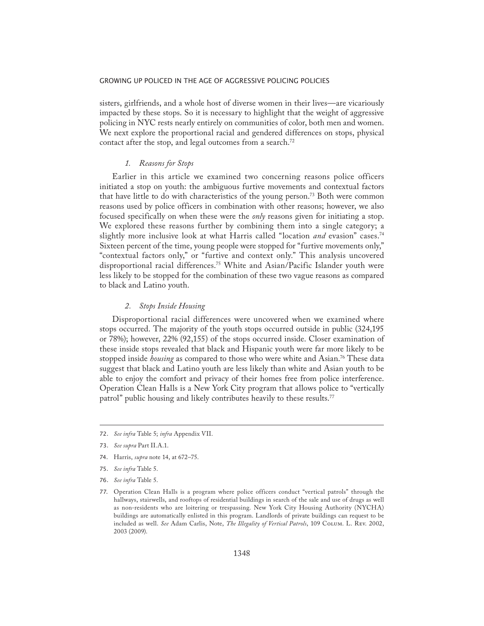sisters, girlfriends, and a whole host of diverse women in their lives—are vicariously impacted by these stops. So it is necessary to highlight that the weight of aggressive policing in NYC rests nearly entirely on communities of color, both men and women. We next explore the proportional racial and gendered differences on stops, physical contact after the stop, and legal outcomes from a search.<sup>72</sup>

#### *1. Reasons for Stops*

 Earlier in this article we examined two concerning reasons police officers initiated a stop on youth: the ambiguous furtive movements and contextual factors that have little to do with characteristics of the young person.73 Both were common reasons used by police officers in combination with other reasons; however, we also focused specifically on when these were the *only* reasons given for initiating a stop. We explored these reasons further by combining them into a single category; a slightly more inclusive look at what Harris called "location *and* evasion" cases.74 Sixteen percent of the time, young people were stopped for "furtive movements only," "contextual factors only," or "furtive and context only." This analysis uncovered disproportional racial differences.75 White and Asian/Pacific Islander youth were less likely to be stopped for the combination of these two vague reasons as compared to black and Latino youth.

#### *2. Stops Inside Housing*

 Disproportional racial differences were uncovered when we examined where stops occurred. The majority of the youth stops occurred outside in public (324,195 or 78%); however, 22% (92,155) of the stops occurred inside. Closer examination of these inside stops revealed that black and Hispanic youth were far more likely to be stopped inside *housing* as compared to those who were white and Asian.76 These data suggest that black and Latino youth are less likely than white and Asian youth to be able to enjoy the comfort and privacy of their homes free from police interference. Operation Clean Halls is a New York City program that allows police to "vertically patrol" public housing and likely contributes heavily to these results.<sup>77</sup>

- 72. *See infra* Table 5; *infra* Appendix VII.
- 73. *See supra* Part II.A.1.
- 74. Harris, *supra* note 14, at 672–75.
- 75. *See infra* Table 5.
- 76. *See infra* Table 5.
- 77. Operation Clean Halls is a program where police officers conduct "vertical patrols" through the hallways, stairwells, and rooftops of residential buildings in search of the sale and use of drugs as well as non-residents who are loitering or trespassing. New York City Housing Authority (NYCHA) buildings are automatically enlisted in this program. Landlords of private buildings can request to be included as well. *See* Adam Carlis, Note, *The Illegality of Vertical Patrols*, 109 Colum. L. Rev. 2002, 2003 (2009).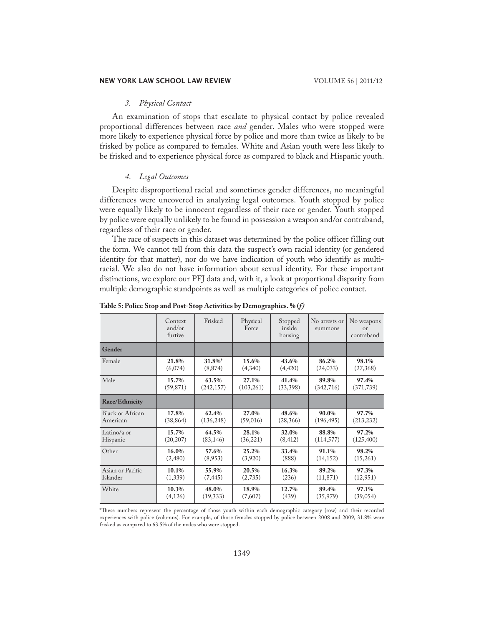#### *3. Physical Contact*

 An examination of stops that escalate to physical contact by police revealed proportional differences between race *and* gender. Males who were stopped were more likely to experience physical force by police and more than twice as likely to be frisked by police as compared to females. White and Asian youth were less likely to be frisked and to experience physical force as compared to black and Hispanic youth.

#### *4. Legal Outcomes*

 Despite disproportional racial and sometimes gender differences, no meaningful differences were uncovered in analyzing legal outcomes. Youth stopped by police were equally likely to be innocent regardless of their race or gender. Youth stopped by police were equally unlikely to be found in possession a weapon and/or contraband, regardless of their race or gender.

 The race of suspects in this dataset was determined by the police officer filling out the form. We cannot tell from this data the suspect's own racial identity (or gendered identity for that matter), nor do we have indication of youth who identify as multiracial. We also do not have information about sexual identity. For these important distinctions, we explore our PFJ data and, with it, a look at proportional disparity from multiple demographic standpoints as well as multiple categories of police contact.

|                         | Context<br>and/or<br>furtive | Frisked    | Physical<br>Force | Stopped<br>inside<br>housing | No arrests or<br>summons | No weapons<br>or<br>contraband |
|-------------------------|------------------------------|------------|-------------------|------------------------------|--------------------------|--------------------------------|
| Gender                  |                              |            |                   |                              |                          |                                |
| Female                  | 21.8%                        | 31.8%*     | 15.6%             | 43.6%                        | 86.2%                    | 98.1%                          |
|                         | (6,074)                      | (8, 874)   | (4,340)           | (4,420)                      | (24, 033)                | (27, 368)                      |
| Male                    | 15.7%                        | 63.5%      | 27.1%             | 41.4%                        | 89.8%                    | 97.4%                          |
|                         | (59, 871)                    | (242, 157) | (103, 261)        | (33,398)                     | (342, 716)               | (371, 739)                     |
| Race/Ethnicity          |                              |            |                   |                              |                          |                                |
| <b>Black or African</b> | 17.8%                        | 62.4%      | 27.0%             | 48.6%                        | 90.0%                    | 97.7%                          |
| American                | (38, 864)                    | (136, 248) | (59,016)          | (28, 366)                    | (196, 495)               | (213, 232)                     |
| Latino/a or             | 15.7%                        | 64.5%      | 28.1%             | 32.0%                        | 88.8%                    | 97.2%                          |
| Hispanic                | (20, 207)                    | (83, 146)  | (36,221)          | (8, 412)                     | (114, 577)               | (125, 400)                     |
| Other                   | 16.0%                        | 57.6%      | 25.2%             | 33.4%                        | 91.1%                    | 98.2%                          |
|                         | (2,480)                      | (8,953)    | (3,920)           | (888)                        | (14, 152)                | (15,261)                       |
| Asian or Pacific        | 10.1%                        | 55.9%      | 20.5%             | 16.3%                        | 89.2%                    | 97.3%                          |
| Islander                | (1,339)                      | (7, 445)   | (2,735)           | (236)                        | (11, 871)                | (12, 951)                      |
| White                   | 10.3%                        | 48.0%      | 18.9%             | 12.7%                        | 89.4%                    | 97.1%                          |
|                         | (4,126)                      | (19, 333)  | (7,607)           | (439)                        | (35,979)                 | (39,054)                       |

**Table 5: Police Stop and Post-Stop Activities by Demographics. % (***f )*

\*8ese numbers represent the percentage of those youth within each demographic category (row) and their recorded experiences with police (columns). For example, of those females stopped by police between 2008 and 2009, 31.8% were frisked as compared to 63.5% of the males who were stopped.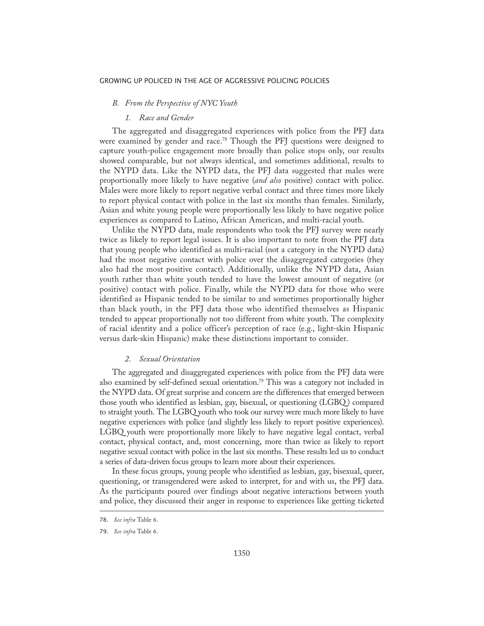#### *B. From the Perspective of NYC Youth*

#### *1. Race and Gender*

 The aggregated and disaggregated experiences with police from the PFJ data were examined by gender and race.<sup>78</sup> Though the  $\rm PFJ$  questions were designed to capture youth-police engagement more broadly than police stops only, our results showed comparable, but not always identical, and sometimes additional, results to the NYPD data. Like the NYPD data, the PFJ data suggested that males were proportionally more likely to have negative (*and also* positive) contact with police. Males were more likely to report negative verbal contact and three times more likely to report physical contact with police in the last six months than females. Similarly, Asian and white young people were proportionally less likely to have negative police experiences as compared to Latino, African American, and multi-racial youth.

 Unlike the NYPD data, male respondents who took the PFJ survey were nearly twice as likely to report legal issues. It is also important to note from the PFJ data that young people who identified as multi-racial (not a category in the NYPD data) had the most negative contact with police over the disaggregated categories (they also had the most positive contact). Additionally, unlike the NYPD data, Asian youth rather than white youth tended to have the lowest amount of negative (or positive) contact with police. Finally, while the NYPD data for those who were identified as Hispanic tended to be similar to and sometimes proportionally higher than black youth, in the PFJ data those who identified themselves as Hispanic tended to appear proportionally not too different from white youth. The complexity of racial identity and a police officer's perception of race (e.g., light-skin Hispanic versus dark-skin Hispanic) make these distinctions important to consider.

#### *2. Sexual Orientation*

 The aggregated and disaggregated experiences with police from the PFJ data were also examined by self-defined sexual orientation.79 This was a category not included in the NYPD data. Of great surprise and concern are the differences that emerged between those youth who identified as lesbian, gay, bisexual, or questioning (LGBQ ) compared to straight youth. The LGBQ youth who took our survey were much more likely to have negative experiences with police (and slightly less likely to report positive experiences). LGBQ youth were proportionally more likely to have negative legal contact, verbal contact, physical contact, and, most concerning, more than twice as likely to report negative sexual contact with police in the last six months. These results led us to conduct a series of data-driven focus groups to learn more about their experiences.

 In these focus groups, young people who identified as lesbian, gay, bisexual, queer, questioning, or transgendered were asked to interpret, for and with us, the PFJ data. As the participants poured over findings about negative interactions between youth and police, they discussed their anger in response to experiences like getting ticketed

<sup>78.</sup> *See infra* Table 6.

<sup>79.</sup> *See infra* Table 6.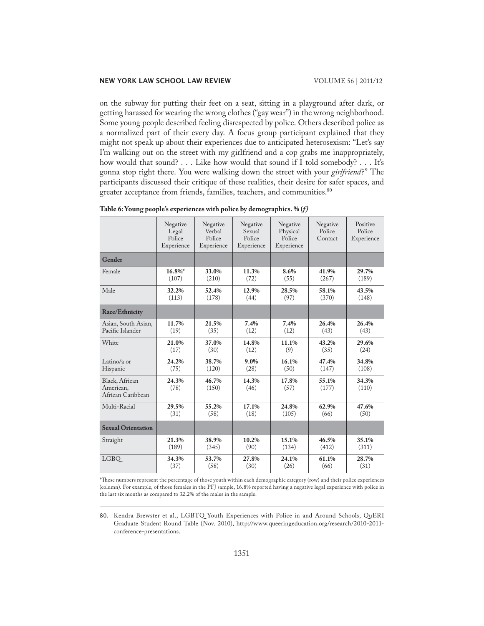on the subway for putting their feet on a seat, sitting in a playground after dark, or getting harassed for wearing the wrong clothes ("gay wear") in the wrong neighborhood. Some young people described feeling disrespected by police. Others described police as a normalized part of their every day. A focus group participant explained that they might not speak up about their experiences due to anticipated heterosexism: "Let's say I'm walking out on the street with my girlfriend and a cop grabs me inappropriately, how would that sound? . . . Like how would that sound if I told somebody? . . . It's gonna stop right there. You were walking down the street with your *girlfriend*?" The participants discussed their critique of these realities, their desire for safer spaces, and greater acceptance from friends, families, teachers, and communities.<sup>80</sup>

|                                                  | Negative<br>Legal<br>Police<br>Experience | Negative<br>Verbal<br>Police<br>Experience | Negative<br>Sexual<br>Police<br>Experience | Negative<br>Physical<br>Police<br>Experience | Negative<br>Police<br>Contact | Positive<br>Police<br>Experience |
|--------------------------------------------------|-------------------------------------------|--------------------------------------------|--------------------------------------------|----------------------------------------------|-------------------------------|----------------------------------|
| Gender                                           |                                           |                                            |                                            |                                              |                               |                                  |
| Female                                           | 16.8%*                                    | 33.0%                                      | 11.3%                                      | 8.6%                                         | 41.9%                         | 29.7%                            |
|                                                  | (107)                                     | (210)                                      | (72)                                       | (55)                                         | (267)                         | (189)                            |
| Male                                             | 32.2%                                     | 52.4%                                      | 12.9%                                      | 28.5%                                        | 58.1%                         | 43.5%                            |
|                                                  | (113)                                     | (178)                                      | (44)                                       | (97)                                         | (370)                         | (148)                            |
| Race/Ethnicity                                   |                                           |                                            |                                            |                                              |                               |                                  |
| Asian, South Asian,                              | 11.7%                                     | 21.5%                                      | 7.4%                                       | 7.4%                                         | 26.4%                         | 26.4%                            |
| Pacific Islander                                 | (19)                                      | (35)                                       | (12)                                       | (12)                                         | (43)                          | (43)                             |
| White                                            | 21.0%                                     | 37.0%                                      | 14.8%                                      | 11.1%                                        | 43.2%                         | 29.6%                            |
|                                                  | (17)                                      | (30)                                       | (12)                                       | (9)                                          | (35)                          | (24)                             |
| Latino/a or                                      | 24.2%                                     | 38.7%                                      | 9.0%                                       | 16.1%                                        | 47.4%                         | 34.8%                            |
| Hispanic                                         | (75)                                      | (120)                                      | (28)                                       | (50)                                         | (147)                         | (108)                            |
| Black, African<br>American,<br>African Caribbean | 24.3%<br>(78)                             | 46.7%<br>(150)                             | 14.3%<br>(46)                              | 17.8%<br>(57)                                | 55.1%<br>(177)                | 34.3%<br>(110)                   |
| Multi-Racial                                     | 29.5%                                     | 55.2%                                      | 17.1%                                      | 24.8%                                        | 62.9%                         | 47.6%                            |
|                                                  | (31)                                      | (58)                                       | (18)                                       | (105)                                        | (66)                          | (50)                             |
| <b>Sexual Orientation</b>                        |                                           |                                            |                                            |                                              |                               |                                  |
| Straight                                         | 21.3%                                     | 38.9%                                      | 10.2%                                      | 15.1%                                        | 46.5%                         | 35.1%                            |
|                                                  | (189)                                     | (345)                                      | (90)                                       | (134)                                        | (412)                         | (311)                            |
| LGBO                                             | 34.3%                                     | 53.7%                                      | 27.8%                                      | 24.1%                                        | 61.1%                         | 28.7%                            |
|                                                  | (37)                                      | (58)                                       | (30)                                       | (26)                                         | (66)                          | (31)                             |

**Table 6: Young people's experiences with police by demographics. % (***f )*

\*8ese numbers represent the percentage of those youth within each demographic category (row) and their police experiences (column). For example, of those females in the PFJ sample, 16.8% reported having a negative legal experience with police in the last six months as compared to 32.2% of the males in the sample.

<sup>80.</sup> Kendra Brewster et al., LGBTQ Youth Experiences with Police in and Around Schools, QuERI Graduate Student Round Table (Nov. 2010), http://www.queeringeducation.org/research/2010-2011 conference-presentations.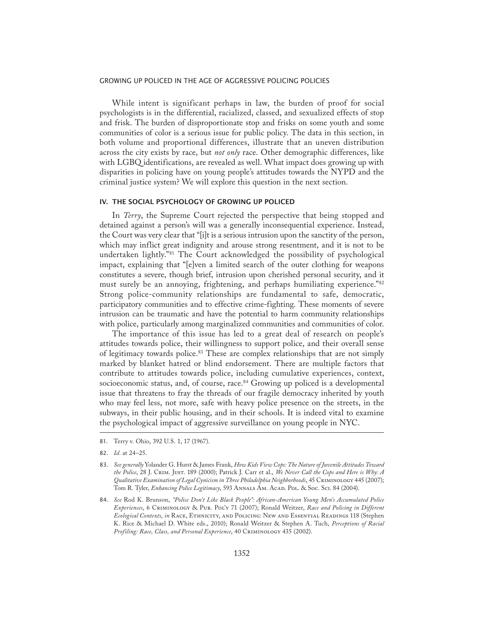While intent is significant perhaps in law, the burden of proof for social psychologists is in the differential, racialized, classed, and sexualized effects of stop and frisk. The burden of disproportionate stop and frisks on some youth and some communities of color is a serious issue for public policy. The data in this section, in both volume and proportional differences, illustrate that an uneven distribution across the city exists by race, but *not only* race. Other demographic differences, like with LGBQ identifications, are revealed as well. What impact does growing up with disparities in policing have on young people's attitudes towards the NYPD and the criminal justice system? We will explore this question in the next section.

#### IV. THE SOCIAL PSYCHOLOGY OF GROWING UP POLICED

 In *Terry*, the Supreme Court rejected the perspective that being stopped and detained against a person's will was a generally inconsequential experience. Instead, the Court was very clear that "[i]t is a serious intrusion upon the sanctity of the person, which may inflict great indignity and arouse strong resentment, and it is not to be undertaken lightly."81 The Court acknowledged the possibility of psychological impact, explaining that "[e]ven a limited search of the outer clothing for weapons constitutes a severe, though brief, intrusion upon cherished personal security, and it must surely be an annoying, frightening, and perhaps humiliating experience."82 Strong police-community relationships are fundamental to safe, democratic, participatory communities and to effective crime-fighting. These moments of severe intrusion can be traumatic and have the potential to harm community relationships with police, particularly among marginalized communities and communities of color.

 The importance of this issue has led to a great deal of research on people's attitudes towards police, their willingness to support police, and their overall sense of legitimacy towards police.<sup>83</sup> These are complex relationships that are not simply marked by blanket hatred or blind endorsement. There are multiple factors that contribute to attitudes towards police, including cumulative experiences, context, socioeconomic status, and, of course, race.<sup>84</sup> Growing up policed is a developmental issue that threatens to fray the threads of our fragile democracy inherited by youth who may feel less, not more, safe with heavy police presence on the streets, in the subways, in their public housing, and in their schools. It is indeed vital to examine the psychological impact of aggressive surveillance on young people in NYC.

81. Terry v. Ohio, 392 U.S. 1, 17 (1967).

<sup>82.</sup> *Id.* at 24–25.

<sup>83.</sup> *See generally* Yolander G. Hurst & James Frank, *How Kids View Cops: The Nature of Juvenile Attitudes Toward the Police*, 28 J. Crim. Just. 189 (2000); Patrick J. Carr et al., *We Never Call the Cops and Here is Why: A Qualitative Examination of Legal Cynicism in Three Philadelphia Neighborhoods*, 45 Criminology 445 (2007); Tom R. Tyler, *Enhancing Police Legitimacy*, 593 ANNALS AM. ACAD. Pol. & Soc. Sci. 84 (2004).

<sup>84.</sup> *See* Rod K. Brunson, *"Police Don't Like Black People": African-American Young Men's Accumulated Police Experiences*, 6 Criminology & Pub. Pol'y 71 (2007); Ronald Weitzer, *Race and Policing in Different Ecological Contexts*, *in* Race, Ethnicity, and Policing: New and Essential Readings 118 (Stephen K. Rice & Michael D. White eds., 2010); Ronald Weitzer & Stephen A. Tuch, *Perceptions of Racial*  Profiling: Race, Class, and Personal Experience, 40 CRIMINOLOGY 435 (2002).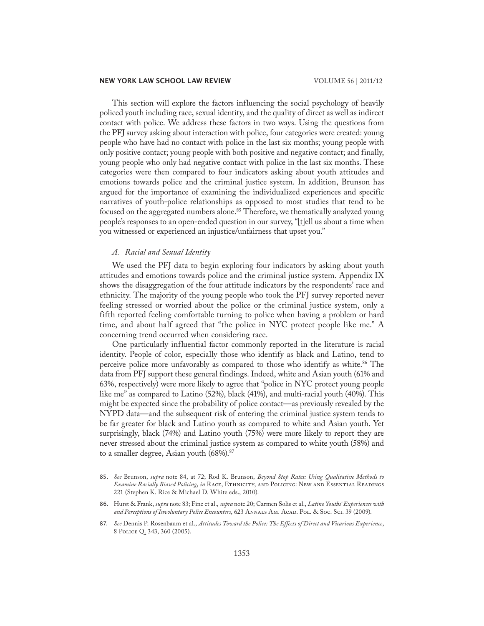This section will explore the factors influencing the social psychology of heavily policed youth including race, sexual identity, and the quality of direct as well as indirect contact with police. We address these factors in two ways. Using the questions from the PFJ survey asking about interaction with police, four categories were created: young people who have had no contact with police in the last six months; young people with only positive contact; young people with both positive and negative contact; and finally, young people who only had negative contact with police in the last six months. These categories were then compared to four indicators asking about youth attitudes and emotions towards police and the criminal justice system. In addition, Brunson has argued for the importance of examining the individualized experiences and specific narratives of youth-police relationships as opposed to most studies that tend to be focused on the aggregated numbers alone.<sup>85</sup> Therefore, we thematically analyzed young people's responses to an open-ended question in our survey, "[t]ell us about a time when you witnessed or experienced an injustice/unfairness that upset you."

#### *A. Racial and Sexual Identity*

 We used the PFJ data to begin exploring four indicators by asking about youth attitudes and emotions towards police and the criminal justice system. Appendix IX shows the disaggregation of the four attitude indicators by the respondents' race and ethnicity. The majority of the young people who took the PFJ survey reported never feeling stressed or worried about the police or the criminal justice system, only a fifth reported feeling comfortable turning to police when having a problem or hard time, and about half agreed that "the police in NYC protect people like me." A concerning trend occurred when considering race.

 One particularly influential factor commonly reported in the literature is racial identity. People of color, especially those who identify as black and Latino, tend to perceive police more unfavorably as compared to those who identify as white.<sup>86</sup> The data from PFJ support these general findings. Indeed, white and Asian youth (61% and 63%, respectively) were more likely to agree that "police in NYC protect young people like me" as compared to Latino (52%), black (41%), and multi-racial youth (40%). This might be expected since the probability of police contact—as previously revealed by the NYPD data—and the subsequent risk of entering the criminal justice system tends to be far greater for black and Latino youth as compared to white and Asian youth. Yet surprisingly, black (74%) and Latino youth (75%) were more likely to report they are never stressed about the criminal justice system as compared to white youth (58%) and to a smaller degree, Asian youth (68%).<sup>87</sup>

<sup>85.</sup> *See* Brunson, *supra* note 84, at 72; Rod K. Brunson, *Beyond Stop Rates: Using Qualitative Methods to Examine Racially Biased Policing*, *in* Race, Ethnicity, and Policing: New and Essential Readings 221 (Stephen K. Rice & Michael D. White eds., 2010).

<sup>86.</sup> Hurst & Frank, *supra* note 83; Fine et al., *supra* note 20; Carmen Solis et al., *Latino Youths' Experiences with*  and Perceptions of Involuntary Police Encounters, 623 ANNALS AM. ACAD. POL. & Soc. Sc1. 39 (2009).

<sup>87.</sup> *See* Dennis P. Rosenbaum et al., *Attitudes Toward the Police: The Effects of Direct and Vicarious Experience*, 8 Police Q. 343, 360 (2005).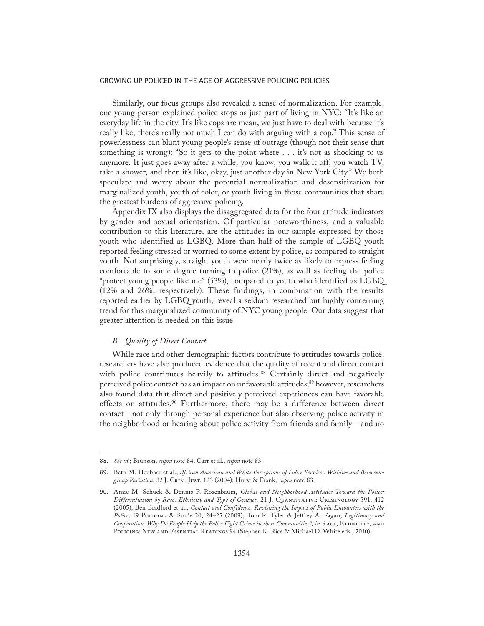Similarly, our focus groups also revealed a sense of normalization. For example, one young person explained police stops as just part of living in NYC: "It's like an everyday life in the city. It's like cops are mean, we just have to deal with because it's really like, there's really not much I can do with arguing with a cop." This sense of powerlessness can blunt young people's sense of outrage (though not their sense that something is wrong): "So it gets to the point where . . . it's not as shocking to us anymore. It just goes away after a while, you know, you walk it off, you watch TV, take a shower, and then it's like, okay, just another day in New York City." We both speculate and worry about the potential normalization and desensitization for marginalized youth, youth of color, or youth living in those communities that share the greatest burdens of aggressive policing.

 Appendix IX also displays the disaggregated data for the four attitude indicators by gender and sexual orientation. Of particular noteworthiness, and a valuable contribution to this literature, are the attitudes in our sample expressed by those youth who identified as LGBQ. More than half of the sample of LGBQ youth reported feeling stressed or worried to some extent by police, as compared to straight youth. Not surprisingly, straight youth were nearly twice as likely to express feeling comfortable to some degree turning to police (21%), as well as feeling the police "protect young people like me" (53%), compared to youth who identified as LGBQ (12% and 26%, respectively). These findings, in combination with the results reported earlier by LGBQ youth, reveal a seldom researched but highly concerning trend for this marginalized community of NYC young people. Our data suggest that greater attention is needed on this issue.

#### *B. Quality of Direct Contact*

 While race and other demographic factors contribute to attitudes towards police, researchers have also produced evidence that the quality of recent and direct contact with police contributes heavily to attitudes.<sup>88</sup> Certainly direct and negatively perceived police contact has an impact on unfavorable attitudes;<sup>89</sup> however, researchers also found data that direct and positively perceived experiences can have favorable effects on attitudes.<sup>90</sup> Furthermore, there may be a difference between direct contact—not only through personal experience but also observing police activity in the neighborhood or hearing about police activity from friends and family—and no

<sup>88.</sup> *See id.*; Brunson, *supra* note 84; Carr et al., *supra* note 83.

<sup>89.</sup> Beth M. Heubner et al., *African American and White Perceptions of Police Services: Within- and Betweengroup Variation*, 32 J. Crim. Just. 123 (2004); Hurst & Frank, *supra* note 83.

<sup>90.</sup> Amie M. Schuck & Dennis P. Rosenbaum, *Global and Neighborhood Attitudes Toward the Police: Differentiation by Race, Ethnicity and Type of Contact*, 21 J. Quantitative Criminology 391, 412 (2005); Ben Bradford et al., *Contact and Confidence: Revisiting the Impact of Public Encounters with the Police*, 19 Policing & Soc'y 20, 24–25 (2009); Tom R. Tyler & Jeffrey A. Fagan, *Legitimacy and Cooperation: Why Do People Help the Police Fight Crime in their Communities?*, *in* Race, Ethnicity, and POLICING: NEW AND ESSENTIAL READINGS 94 (Stephen K. Rice & Michael D. White eds., 2010).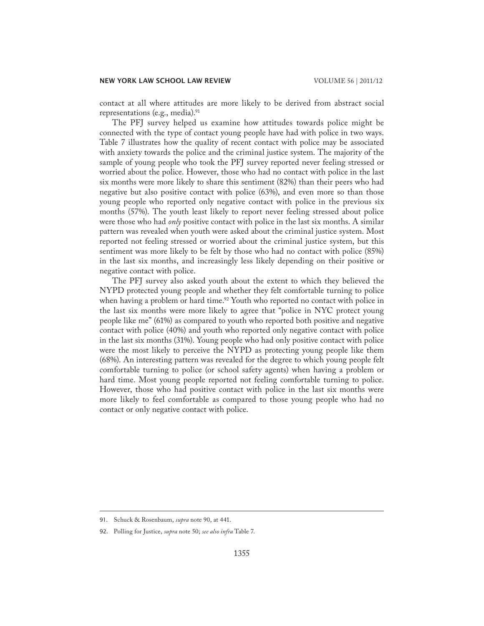contact at all where attitudes are more likely to be derived from abstract social representations (e.g., media).<sup>91</sup>

 The PFJ survey helped us examine how attitudes towards police might be connected with the type of contact young people have had with police in two ways. Table 7 illustrates how the quality of recent contact with police may be associated with anxiety towards the police and the criminal justice system. The majority of the sample of young people who took the PFJ survey reported never feeling stressed or worried about the police. However, those who had no contact with police in the last six months were more likely to share this sentiment (82%) than their peers who had negative but also positive contact with police (63%), and even more so than those young people who reported only negative contact with police in the previous six months (57%). The youth least likely to report never feeling stressed about police were those who had *only* positive contact with police in the last six months. A similar pattern was revealed when youth were asked about the criminal justice system. Most reported not feeling stressed or worried about the criminal justice system, but this sentiment was more likely to be felt by those who had no contact with police (85%) in the last six months, and increasingly less likely depending on their positive or negative contact with police.

 The PFJ survey also asked youth about the extent to which they believed the NYPD protected young people and whether they felt comfortable turning to police when having a problem or hard time.<sup>92</sup> Youth who reported no contact with police in the last six months were more likely to agree that "police in NYC protect young people like me" (61%) as compared to youth who reported both positive and negative contact with police (40%) and youth who reported only negative contact with police in the last six months (31%). Young people who had only positive contact with police were the most likely to perceive the NYPD as protecting young people like them (68%). An interesting pattern was revealed for the degree to which young people felt comfortable turning to police (or school safety agents) when having a problem or hard time. Most young people reported not feeling comfortable turning to police. However, those who had positive contact with police in the last six months were more likely to feel comfortable as compared to those young people who had no contact or only negative contact with police.

<sup>91.</sup> Schuck & Rosenbaum, *supra* note 90, at 441.

<sup>92.</sup> Polling for Justice, *supra* note 50; *see also infra* Table 7.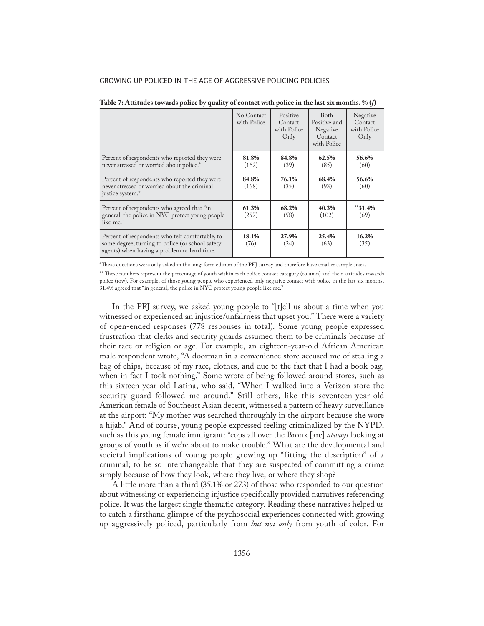| GROWING UP POLICED IN THE AGE OF AGGRESSIVE POLICING POLICIES |  |  |  |  |
|---------------------------------------------------------------|--|--|--|--|
|                                                               |  |  |  |  |

|                                                                                                                                                    | No Contact<br>with Police | Positive<br>Contact<br>with Police<br>Only | <b>Both</b><br>Positive and<br>Negative<br>Contact<br>with Police | Negative<br>Contact<br>with Police<br>Only |
|----------------------------------------------------------------------------------------------------------------------------------------------------|---------------------------|--------------------------------------------|-------------------------------------------------------------------|--------------------------------------------|
| Percent of respondents who reported they were<br>never stressed or worried about police.*                                                          | 81.8%<br>(162)            | 84.8%<br>(39)                              | 62.5%<br>(85)                                                     | 56.6%<br>(60)                              |
| Percent of respondents who reported they were<br>never stressed or worried about the criminal<br>justice system.*                                  | 84.8%<br>(168)            | 76.1%<br>(35)                              | 68.4%<br>(93)                                                     | 56.6%<br>(60)                              |
| Percent of respondents who agreed that "in<br>general, the police in NYC protect young people<br>like me."                                         | 61.3%<br>(257)            | 68.2%<br>(58)                              | 40.3%<br>(102)                                                    | $*31.4%$<br>(69)                           |
| Percent of respondents who felt comfortable, to<br>some degree, turning to police (or school safety<br>agents) when having a problem or hard time. | 18.1%<br>(76)             | 27.9%<br>(24)                              | 25.4%<br>(63)                                                     | 16.2%<br>(35)                              |

#### **Table 7: Attitudes towards police by quality of contact with police in the last six months. % (***f***)**

\*8ese questions were only asked in the long-form edition of the PFJ survey and therefore have smaller sample sizes.

\*\* These numbers represent the percentage of youth within each police contact category (column) and their attitudes towards police (row). For example, of those young people who experienced only negative contact with police in the last six months, 31.4% agreed that "in general, the police in NYC protect young people like me."

 In the PFJ survey, we asked young people to "[t]ell us about a time when you witnessed or experienced an injustice/unfairness that upset you." There were a variety of open-ended responses (778 responses in total). Some young people expressed frustration that clerks and security guards assumed them to be criminals because of their race or religion or age. For example, an eighteen-year-old African American male respondent wrote, "A doorman in a convenience store accused me of stealing a bag of chips, because of my race, clothes, and due to the fact that I had a book bag, when in fact I took nothing." Some wrote of being followed around stores, such as this sixteen-year-old Latina, who said, "When I walked into a Verizon store the security guard followed me around." Still others, like this seventeen-year-old American female of Southeast Asian decent, witnessed a pattern of heavy surveillance at the airport: "My mother was searched thoroughly in the airport because she wore a hijab." And of course, young people expressed feeling criminalized by the NYPD, such as this young female immigrant: "cops all over the Bronx [are] *always* looking at groups of youth as if we're about to make trouble." What are the developmental and societal implications of young people growing up "fitting the description" of a criminal; to be so interchangeable that they are suspected of committing a crime simply because of how they look, where they live, or where they shop?

 A little more than a third (35.1% or 273) of those who responded to our question about witnessing or experiencing injustice specifically provided narratives referencing police. It was the largest single thematic category. Reading these narratives helped us to catch a firsthand glimpse of the psychosocial experiences connected with growing up aggressively policed, particularly from *but not only* from youth of color. For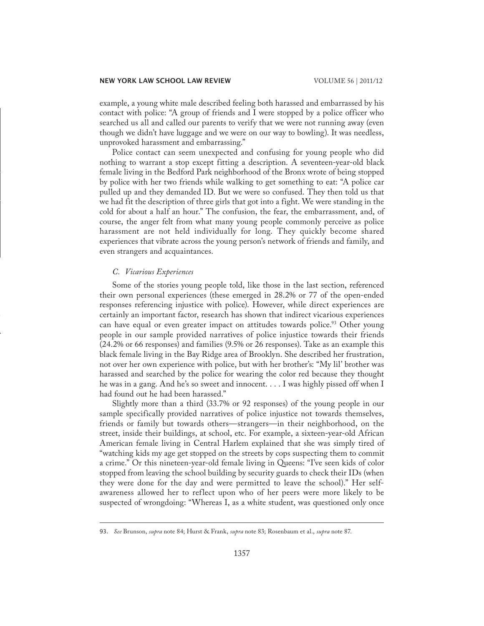example, a young white male described feeling both harassed and embarrassed by his contact with police: "A group of friends and I were stopped by a police officer who searched us all and called our parents to verify that we were not running away (even though we didn't have luggage and we were on our way to bowling). It was needless, unprovoked harassment and embarrassing."

 Police contact can seem unexpected and confusing for young people who did nothing to warrant a stop except fitting a description. A seventeen-year-old black female living in the Bedford Park neighborhood of the Bronx wrote of being stopped by police with her two friends while walking to get something to eat: "A police car pulled up and they demanded ID. But we were so confused. They then told us that we had fit the description of three girls that got into a fight. We were standing in the cold for about a half an hour." The confusion, the fear, the embarrassment, and, of course, the anger felt from what many young people commonly perceive as police harassment are not held individually for long. They quickly become shared experiences that vibrate across the young person's network of friends and family, and even strangers and acquaintances.

#### *C. Vicarious Experiences*

 Some of the stories young people told, like those in the last section, referenced their own personal experiences (these emerged in 28.2% or 77 of the open-ended responses referencing injustice with police). However, while direct experiences are certainly an important factor, research has shown that indirect vicarious experiences can have equal or even greater impact on attitudes towards police.<sup>93</sup> Other young people in our sample provided narratives of police injustice towards their friends (24.2% or 66 responses) and families (9.5% or 26 responses). Take as an example this black female living in the Bay Ridge area of Brooklyn. She described her frustration, not over her own experience with police, but with her brother's: "My lil' brother was harassed and searched by the police for wearing the color red because they thought he was in a gang. And he's so sweet and innocent. . . . I was highly pissed off when I had found out he had been harassed."

 Slightly more than a third (33.7% or 92 responses) of the young people in our sample specifically provided narratives of police injustice not towards themselves, friends or family but towards others—strangers—in their neighborhood, on the street, inside their buildings, at school, etc. For example, a sixteen-year-old African American female living in Central Harlem explained that she was simply tired of "watching kids my age get stopped on the streets by cops suspecting them to commit a crime." Or this nineteen-year-old female living in Queens: "I've seen kids of color stopped from leaving the school building by security guards to check their IDs (when they were done for the day and were permitted to leave the school)." Her selfawareness allowed her to reflect upon who of her peers were more likely to be suspected of wrongdoing: "Whereas I, as a white student, was questioned only once

<sup>93.</sup> *See* Brunson, *supra* note 84; Hurst & Frank, *supra* note 83; Rosenbaum et al., *supra* note 87.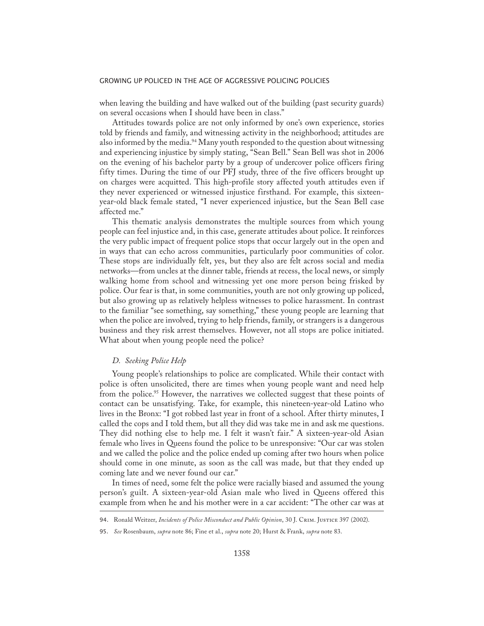when leaving the building and have walked out of the building (past security guards) on several occasions when I should have been in class."

 Attitudes towards police are not only informed by one's own experience, stories told by friends and family, and witnessing activity in the neighborhood; attitudes are also informed by the media.<sup>94</sup> Many youth responded to the question about witnessing and experiencing injustice by simply stating, "Sean Bell." Sean Bell was shot in 2006 on the evening of his bachelor party by a group of undercover police officers firing fifty times. During the time of our PFJ study, three of the five officers brought up on charges were acquitted. This high-profile story affected youth attitudes even if they never experienced or witnessed injustice firsthand. For example, this sixteenyear-old black female stated, "I never experienced injustice, but the Sean Bell case affected me."

 This thematic analysis demonstrates the multiple sources from which young people can feel injustice and, in this case, generate attitudes about police. It reinforces the very public impact of frequent police stops that occur largely out in the open and in ways that can echo across communities, particularly poor communities of color. These stops are individually felt, yes, but they also are felt across social and media hetworks—from uncles at the dinner table, friends at recess, the local news, or simply walking home from school and witnessing yet one more person being frisked by police. Our fear is that, in some communities, youth are not only growing up policed, but also growing up as relatively helpless witnesses to police harassment. In contrast to the familiar "see something, say something," these young people are learning that when the police are involved, trying to help friends, family, or strangers is a dangerous business and they risk arrest themselves. However, not all stops are police initiated. What about when young people need the police?

#### *D. Seeking Police Help*

 Young people's relationships to police are complicated. While their contact with police is often unsolicited, there are times when young people want and need help from the police.<sup>95</sup> However, the narratives we collected suggest that these points of contact can be unsatisfying. Take, for example, this nineteen-year-old Latino who lives in the Bronx: "I got robbed last year in front of a school. After thirty minutes, I called the cops and I told them, but all they did was take me in and ask me questions. They did nothing else to help me. I felt it wasn't fair." A sixteen-year-old Asian female who lives in Queens found the police to be unresponsive: "Our car was stolen and we called the police and the police ended up coming after two hours when police should come in one minute, as soon as the call was made, but that they ended up coming late and we never found our car."

 In times of need, some felt the police were racially biased and assumed the young person's guilt. A sixteen-year-old Asian male who lived in Queens offered this example from when he and his mother were in a car accident: "The other car was at

<sup>94.</sup> Ronald Weitzer, *Incidents of Police Misconduct and Public Opinion*, 30 J. Crim. Justice 397 (2002).

<sup>95.</sup> *See* Rosenbaum, *supra* note 86; Fine et al., *supra* note 20; Hurst & Frank, *supra* note 83.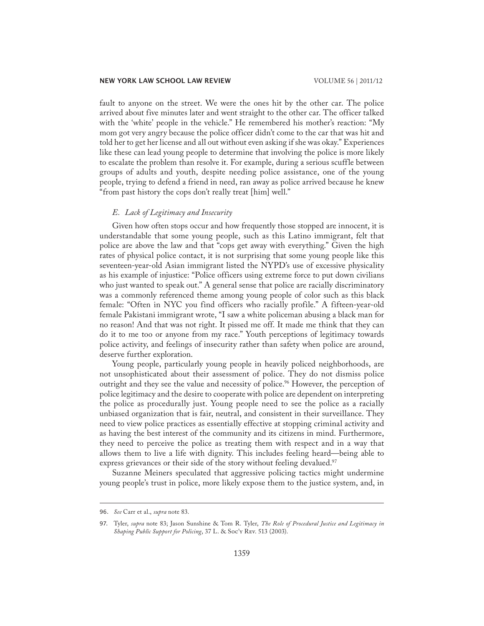fault to anyone on the street. We were the ones hit by the other car. The police arrived about five minutes later and went straight to the other car. The officer talked with the 'white' people in the vehicle." He remembered his mother's reaction: "My mom got very angry because the police officer didn't come to the car that was hit and told her to get her license and all out without even asking if she was okay." Experiences like these can lead young people to determine that involving the police is more likely to escalate the problem than resolve it. For example, during a serious scuffle between groups of adults and youth, despite needing police assistance, one of the young people, trying to defend a friend in need, ran away as police arrived because he knew "from past history the cops don't really treat [him] well."

#### *E. Lack of Legitimacy and Insecurity*

 Given how often stops occur and how frequently those stopped are innocent, it is understandable that some young people, such as this Latino immigrant, felt that police are above the law and that "cops get away with everything." Given the high rates of physical police contact, it is not surprising that some young people like this seventeen-year-old Asian immigrant listed the NYPD's use of excessive physicality as his example of injustice: "Police officers using extreme force to put down civilians who just wanted to speak out." A general sense that police are racially discriminatory was a commonly referenced theme among young people of color such as this black female: "Often in NYC you find officers who racially profile." A fifteen-year-old female Pakistani immigrant wrote, "I saw a white policeman abusing a black man for no reason! And that was not right. It pissed me off. It made me think that they can do it to me too or anyone from my race." Youth perceptions of legitimacy towards police activity, and feelings of insecurity rather than safety when police are around, deserve further exploration.

 Young people, particularly young people in heavily policed neighborhoods, are not unsophisticated about their assessment of police. They do not dismiss police outright and they see the value and necessity of police.96 However, the perception of police legitimacy and the desire to cooperate with police are dependent on interpreting the police as procedurally just. Young people need to see the police as a racially unbiased organization that is fair, neutral, and consistent in their surveillance. They need to view police practices as essentially effective at stopping criminal activity and as having the best interest of the community and its citizens in mind. Furthermore, they need to perceive the police as treating them with respect and in a way that allows them to live a life with dignity. This includes feeling heard—being able to express grievances or their side of the story without feeling devalued.<sup>97</sup>

 Suzanne Meiners speculated that aggressive policing tactics might undermine young people's trust in police, more likely expose them to the justice system, and, in

<sup>96.</sup> *See* Carr et al., *supra* note 83.

<sup>97.</sup> Tyler, *supra* note 83; Jason Sunshine & Tom R. Tyler, *The Role of Procedural Justice and Legitimacy in Shaping Public Support for Policing*, 37 L. & Soc'y Rev. 513 (2003).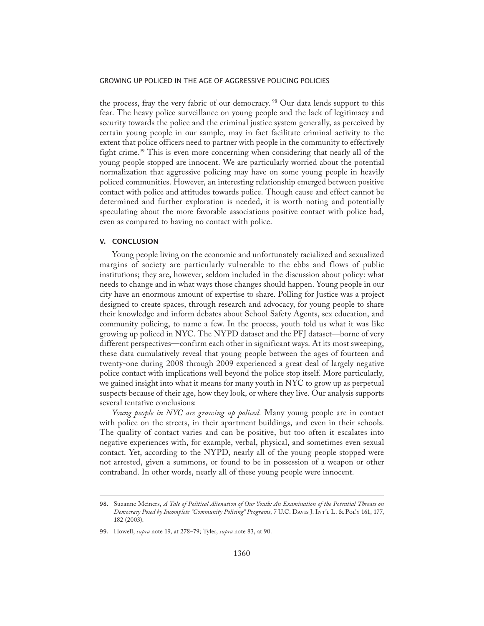the process, fray the very fabric of our democracy. 98 Our data lends support to this fear. The heavy police surveillance on young people and the lack of legitimacy and security towards the police and the criminal justice system generally, as perceived by certain young people in our sample, may in fact facilitate criminal activity to the extent that police officers need to partner with people in the community to effectively fight crime.<sup>99</sup> This is even more concerning when considering that nearly all of the young people stopped are innocent. We are particularly worried about the potential normalization that aggressive policing may have on some young people in heavily policed communities. However, an interesting relationship emerged between positive contact with police and attitudes towards police. Though cause and effect cannot be determined and further exploration is needed, it is worth noting and potentially speculating about the more favorable associations positive contact with police had, even as compared to having no contact with police.

#### V. CONCLUSION

 Young people living on the economic and unfortunately racialized and sexualized margins of society are particularly vulnerable to the ebbs and flows of public institutions; they are, however, seldom included in the discussion about policy: what needs to change and in what ways those changes should happen. Young people in our city have an enormous amount of expertise to share. Polling for Justice was a project designed to create spaces, through research and advocacy, for young people to share their knowledge and inform debates about School Safety Agents, sex education, and community policing, to name a few. In the process, youth told us what it was like growing up policed in NYC. The NYPD dataset and the PFJ dataset—borne of very different perspectives—confirm each other in significant ways. At its most sweeping, these data cumulatively reveal that young people between the ages of fourteen and twenty-one during 2008 through 2009 experienced a great deal of largely negative police contact with implications well beyond the police stop itself. More particularly, we gained insight into what it means for many youth in NYC to grow up as perpetual suspects because of their age, how they look, or where they live. Our analysis supports several tentative conclusions:

*Young people in NYC are growing up policed.* Many young people are in contact with police on the streets, in their apartment buildings, and even in their schools. The quality of contact varies and can be positive, but too often it escalates into negative experiences with, for example, verbal, physical, and sometimes even sexual contact. Yet, according to the NYPD, nearly all of the young people stopped were not arrested, given a summons, or found to be in possession of a weapon or other contraband. In other words, nearly all of these young people were innocent.

<sup>98.</sup> Suzanne Meiners, *A Tale of Political Alienation of Our Youth: An Examination of the Potential Threats on Democracy Posed by Incomplete "Community Policing" Programs*, 7 U.C. Davis J. Int'l L. & Pol'y 161, 177, 182 (2003).

<sup>99.</sup> Howell, *supra* note 19, at 278–79; Tyler, *supra* note 83, at 90.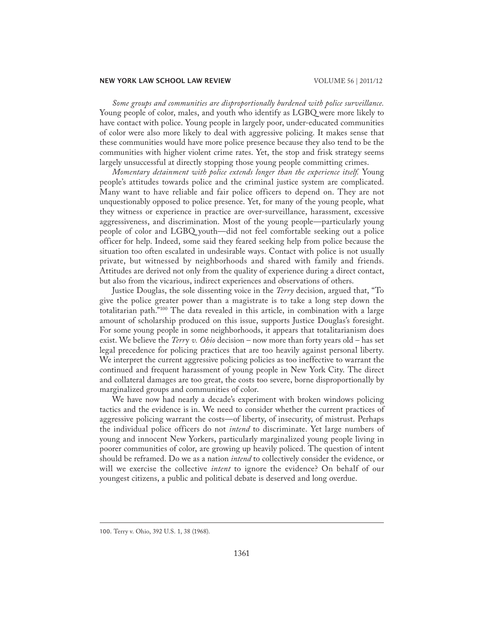*Some groups and communities are disproportionally burdened with police surveillance.*  Young people of color, males, and youth who identify as LGBQ were more likely to have contact with police. Young people in largely poor, under-educated communities of color were also more likely to deal with aggressive policing. It makes sense that these communities would have more police presence because they also tend to be the communities with higher violent crime rates. Yet, the stop and frisk strategy seems largely unsuccessful at directly stopping those young people committing crimes.

*Momentary detainment with police extends longer than the experience itself.* Young people's attitudes towards police and the criminal justice system are complicated. Many want to have reliable and fair police officers to depend on. They are not unquestionably opposed to police presence. Yet, for many of the young people, what they witness or experience in practice are over-surveillance, harassment, excessive aggressiveness, and discrimination. Most of the young people—particularly young people of color and LGBQ youth—did not feel comfortable seeking out a police officer for help. Indeed, some said they feared seeking help from police because the situation too often escalated in undesirable ways. Contact with police is not usually private, but witnessed by neighborhoods and shared with family and friends. Attitudes are derived not only from the quality of experience during a direct contact, but also from the vicarious, indirect experiences and observations of others.

 Justice Douglas, the sole dissenting voice in the *Terry* decision, argued that, "To give the police greater power than a magistrate is to take a long step down the totalitarian path."100 The data revealed in this article, in combination with a large amount of scholarship produced on this issue, supports Justice Douglas's foresight. For some young people in some neighborhoods, it appears that totalitarianism does exist. We believe the *Terr*y *v. Ohio* decision – now more than forty years old – has set legal precedence for policing practices that are too heavily against personal liberty. We interpret the current aggressive policing policies as too ineffective to warrant the continued and frequent harassment of young people in New York City. The direct and collateral damages are too great, the costs too severe, borne disproportionally by marginalized groups and communities of color.

 We have now had nearly a decade's experiment with broken windows policing tactics and the evidence is in. We need to consider whether the current practices of aggressive policing warrant the costs—of liberty, of insecurity, of mistrust. Perhaps the individual police officers do not *intend* to discriminate. Yet large numbers of young and innocent New Yorkers, particularly marginalized young people living in poorer communities of color, are growing up heavily policed. The question of intent should be reframed. Do we as a nation *intend* to collectively consider the evidence, or will we exercise the collective *intent* to ignore the evidence? On behalf of our youngest citizens, a public and political debate is deserved and long overdue.

<sup>100.</sup> Terry v. Ohio, 392 U.S. 1, 38 (1968).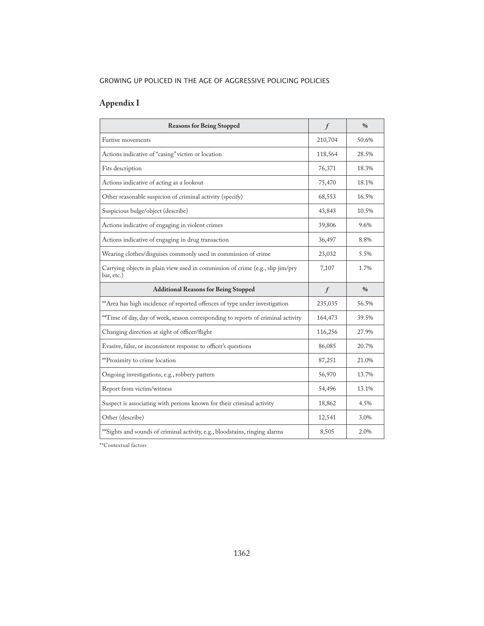## **Appendix I**

| <b>Reasons for Being Stopped</b>                                                             | f             | $\frac{0}{0}$ |
|----------------------------------------------------------------------------------------------|---------------|---------------|
| Furtive movements                                                                            | 210,704       | 50.6%         |
| Actions indicative of "casing" victim or location                                            | 118,564       | 28.5%         |
| Fits description                                                                             | 76,371        | 18.3%         |
| Actions indicative of acting as a lookout                                                    | 75,470        | 18.1%         |
| Other reasonable suspicion of criminal activity (specify)                                    | 68,553        | 16.5%         |
| Suspicious bulge/object (describe)                                                           | 43,843        | 10.5%         |
| Actions indicative of engaging in violent crimes                                             | 39,806        | 9.6%          |
| Actions indicative of engaging in drug transaction                                           | 36,497        | 8.8%          |
| Wearing clothes/disguises commonly used in commission of crime                               | 23,032        | 5.5%          |
| Carrying objects in plain view used in commission of crime (e.g., slip jim/pry<br>bar, etc.) | 7,107         | 1.7%          |
|                                                                                              |               |               |
| <b>Additional Reasons for Being Stopped</b>                                                  | $\mathcal{f}$ | $\frac{0}{0}$ |
| ** Area has high incidence of reported offences of type under investigation                  | 235,035       | 56.5%         |
| ** Time of day, day of week, season corresponding to reports of criminal activity            | 164,473       | 39.5%         |
| Changing direction at sight of officer/flight                                                | 116,256       | 27.9%         |
| Evasive, false, or inconsistent response to officer's questions                              | 86,085        | 20.7%         |
| ** Proximity to crime location                                                               | 87,251        | 21.0%         |
| Ongoing investigations, e.g., robbery pattern                                                | 56,970        | 13.7%         |
| Report from victim/witness                                                                   | 54,496        | 13.1%         |
| Suspect is associating with persons known for their criminal activity                        | 18,862        | 4.5%          |
| Other (describe)                                                                             | 12,541        | 3.0%          |

\*\*Contextual factors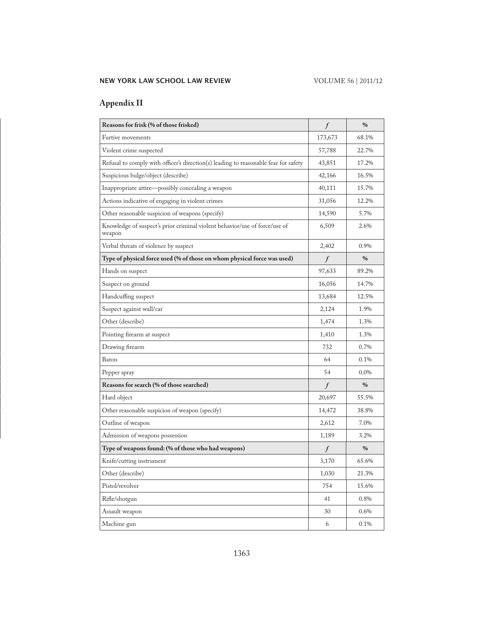## **Appendix II**

| Reasons for frisk (% of those frisked)                                               | $\boldsymbol{f}$ | $\frac{0}{0}$ |
|--------------------------------------------------------------------------------------|------------------|---------------|
| Furtive movements                                                                    | 173,673          | 68.1%         |
| Violent crime suspected                                                              | 57,788           | 22.7%         |
| Refusal to comply with officer's direction(s) leading to reasonable fear for safety  | 43,851           | 17.2%         |
| Suspicious bulge/object (describe)                                                   | 42,166           | 16.5%         |
| Inappropriate attire—possibly concealing a weapon                                    | 40,111           | 15.7%         |
| Actions indicative of engaging in violent crimes                                     | 31,056           | 12.2%         |
| Other reasonable suspicion of weapons (specify)                                      | 14,590           | 5.7%          |
| Knowledge of suspect's prior criminal violent behavior/use of force/use of<br>weapon | 6,509            | 2.6%          |
| Verbal threats of violence by suspect                                                | 2,402            | 0.9%          |
| Type of physical force used (% of those on whom physical force was used)             | $\int$           | $\frac{0}{0}$ |
| Hands on suspect                                                                     | 97,633           | 89.2%         |
| Suspect on ground                                                                    | 16,056           | 14.7%         |
| Handcuffing suspect                                                                  | 13,684           | 12.5%         |
| Suspect against wall/car                                                             | 2,124            | 1.9%          |
| Other (describe)                                                                     | 1,474            | 1.3%          |
| Pointing firearm at suspect                                                          | 1,410            | 1.3%          |
| Drawing firearm                                                                      | 732              | 0.7%          |
| Baton                                                                                | 64               | 0.1%          |
| Pepper spray                                                                         | 54               | 0.0%          |
| Reasons for search (% of those searched)                                             | f                | $\frac{0}{0}$ |
| Hard object                                                                          | 20,697           | 55.5%         |
| Other reasonable suspicion of weapon (specify)                                       | 14,472           | 38.8%         |
| Outline of weapon                                                                    | 2,612            | 7.0%          |
| Admission of weapons possession                                                      | 1,189            | 3.2%          |
| Type of weapons found: (% of those who had weapons)                                  | f                | $\frac{0}{0}$ |
| Knife/cutting instrument                                                             | 3,170            | 65.6%         |
| Other (describe)                                                                     | 1,030            | 21.3%         |
| Pistol/revolver                                                                      | 754              | 15.6%         |
| Rifle/shotgun                                                                        | 41               | 0.8%          |
| Assault weapon                                                                       | 30               | 0.6%          |
| Machine gun                                                                          | 6                | 0.1%          |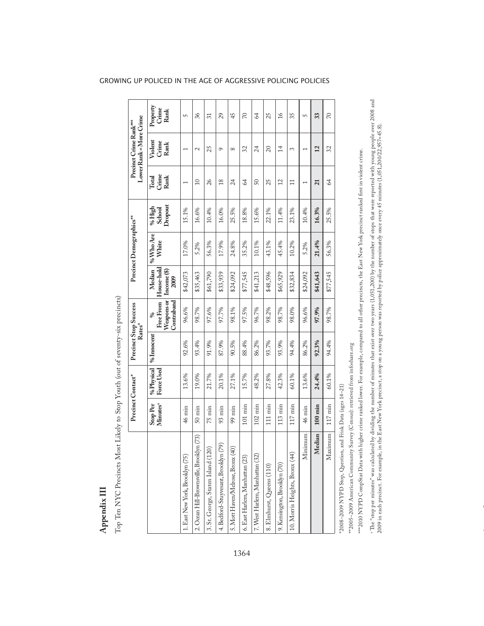|                                          |                                  | Precinct Contact*       |            | Precinct Stop Success<br>Rates"            |                                             | Precinct Demographics*** |                            |                        | Lower Rank = More Crime<br>Precinct Crime Rank*** |                           |
|------------------------------------------|----------------------------------|-------------------------|------------|--------------------------------------------|---------------------------------------------|--------------------------|----------------------------|------------------------|---------------------------------------------------|---------------------------|
|                                          | Minutes <sup>a</sup><br>Stop Per | %Physical<br>Force Used | % Innocent | Weapons or<br>Contraband<br>Free From<br>℅ | House-hold<br>Median<br>Income (\$)<br>2009 | %Who Are<br>White        | Dropout<br>%High<br>School | Total<br>Crime<br>Rank | Violent<br>Crime<br>Rank                          | Property<br>Crime<br>Rank |
| 1. East New York, Brooklyn (75)          | $46$ min                         | 13.6%                   | 92.6%      | 96.6%                                      | \$42,073                                    | 17.0%                    | 15.1%                      | 1                      | $\overline{ }$                                    | m                         |
| 2. Ocean Hill-Brownsville, Brooklyn (73) | $50 \text{ min}$                 | 19.0%                   | 93.4%      | 98.7%                                      | \$35,463                                    | 5.2%                     | 16.6%                      | $\Omega$               | $\mathcal{L}$                                     | 36                        |
| 3. St. George, Staten Island (120)       | 75 min                           | 21.7%                   | 91.9%      | 97.6%                                      | \$61,790                                    | 56.3%                    | 10.4%                      | 26                     | 25                                                | 31                        |
| 4. Bedford-Stuyvesant, Brooklyn (79)     | 93 min                           | 20.1%                   | 87.9%      | 97.7%                                      | \$33,939                                    | 17.9%                    | 16.0%                      | $\frac{8}{2}$          | $\sigma$                                          | 29                        |
| 5. Mott Haven/Melrose, Bronx (40)        | $99 \mathrm{min}$                | 27.1%                   | 90.5%      | 98.1%                                      | \$24,092                                    | 24.8%                    | 25.5%                      | $\overline{24}$        | $\infty$                                          | 45                        |
| 6. East Harlem, Manhattan (23)           | $101$ min                        | 15.7%                   | 88.4%      | 97.5%                                      | \$77,545                                    | 35.2%                    | 18.8%                      | $\mathcal{L}$          | 32                                                | $\approx$                 |
| 7. West Harlem, Manhattan (32)           | $102 \text{ min}$                | 48.2%                   | 86.2%      | 96.7%                                      | \$41,213                                    | 10.1%                    | 15.6%                      | $50\,$                 | 24                                                | $\mathcal{L}$             |
| 8. Elmhurst, Queens (110)                | $111 \text{ min}$                | 27.8%                   | 93.7%      | 98.2%                                      | \$48,596                                    | 43.1%                    | 22.1%                      | 25                     | $\Omega$                                          | 25                        |
| 9. Kensington, Brooklyn (70)             | $113 \text{ min}$                | 42.3%                   | 93.9%      | 98.7%                                      | \$65,929                                    | 45.4%                    | 11.4%                      | $\overline{c}$         | $\overline{1}$                                    | $\frac{6}{2}$             |
| 10. Morris Heights, Bronx (44)           | $117 \text{ min}$                | 60.1%                   | 94.4%      | 98.0%                                      | \$32,834                                    | 10.2%                    | 23.1%                      | $\Xi$                  | 3                                                 | 35                        |
| Minimum                                  | $46 \text{ min}$                 | 13.6%                   | 86.2%      | 96.6%                                      | \$24,092                                    | 5.2%                     | 10.4%                      | $\overline{}$          | $\overline{\phantom{0}}$                          | S                         |
| Median                                   | $100 \text{ min}$                | 24.4%                   | 92.3%      | 97.9%                                      | \$41,643                                    | 21.4%                    | 16.3%                      | $\overline{z}$         | $\overline{12}$                                   | 33                        |
| Maximum                                  | $117 \text{ min}$                | 60.1%                   | 94.4%      | 98.7%                                      | \$77,545                                    | 56.3%                    | 25.5%                      | $\mathcal{L}$          | 32                                                | $\approx$                 |
|                                          |                                  |                         |            |                                            |                                             |                          |                            |                        |                                                   |                           |

"2008-2009 NYPD Stop, Question, and Frisk Data (ages 14-21) \*2008–2009 NYPD Stop, Question, and Frisk Data (ages 14–21) \*\*2005-2009 American Community Survey (Census): retrieved from infoshare.org \*\*2005–2009 American Community Survey (Census): retrieved from infoshare.org

\*\*\*2010 NYPD CompStat Data with higher crime ranked lower. For example, compared to all other precincts, the East New York precinct ranked first in violent crime. \*\*\*2010 NYPD CompStat Data with higher crime ranked lower. For example, compared to all other precincts, the East New York precinct ranked first in violent crime.

" The "stop per minutes" was calculated by dividing the number of minutes that exist over two years (1,051,200) by the number of stops that were reported with young people over 2008 and<br>2009 in each precinct. For example, 8e "stop per minutes" was calculated by dividing the number of minutes that exist over two years (1,051,200) by the number of stops that were reported with young people over 2008 and 2009 in each precinct. For example, in the East New York precinct, a stop on a young person was reported by police approximately once every 45 minutes (1,051,200/22,957=45.8).

#### GROWING UP POLICED IN THE AGE OF AGGRESSIVE POLICING POLICIES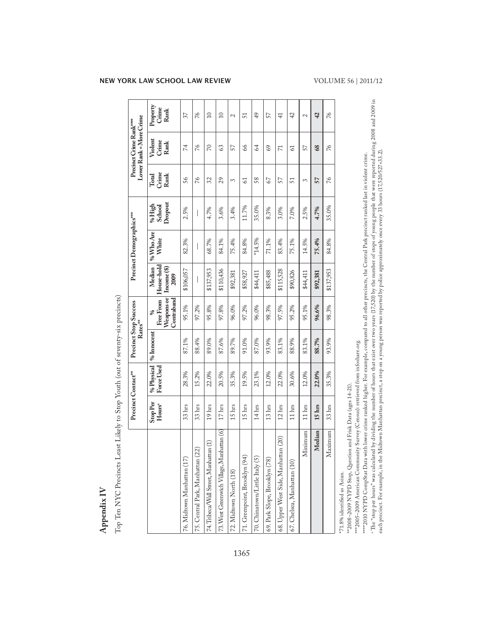| P |  |
|---|--|
|   |  |
|   |  |
|   |  |
| c |  |
|   |  |
|   |  |
|   |  |
|   |  |
|   |  |
|   |  |
|   |  |
|   |  |

|                                           |                                | Precinct Contact**      |               | Precinct Stop Success<br>Rates***          |                                             | Precinct Demographics*** |                                |                        | Lower Rank = More Crime<br>Precinct Crime Rank**** |                           |
|-------------------------------------------|--------------------------------|-------------------------|---------------|--------------------------------------------|---------------------------------------------|--------------------------|--------------------------------|------------------------|----------------------------------------------------|---------------------------|
|                                           | Stop Per<br>Hours <sup>a</sup> | %Physical<br>Force Used | $\%$ Innocent | Weapons or<br>Contraband<br>Free From<br>℅ | House-hold<br>Median<br>Income (\$)<br>2009 | %Who Are<br>White        | Dropout<br>$\%$ High<br>School | Crime<br>Total<br>Rank | Violent<br>Crime<br>Rank                           | Property<br>Crime<br>Rank |
| 76. Midtown Manhattan (17)                | 33 hrs                         | 28.3%                   | 87.1%         | 95.1%                                      | \$106,057                                   | 82.3%                    | 2.5%                           | 56                     | $\overline{7}$                                     | 37                        |
| 75. Central Park, Manhattan (22)          | 33 hrs                         | 15.2%                   | 88.4%         | 97.2%                                      | $\overline{\phantom{a}}$                    | $\overline{\phantom{a}}$ | $\overline{\phantom{a}}$       | 94                     | $\%$                                               | 76                        |
| 74. Tribeca/Wall Street, Manhattan (1)    | $19~\mathrm{hrs}$              | 22.0%                   | 89.0%         | 95.8%                                      | \$137,953                                   | 68.7%                    | 4.7%                           | 32                     | $\approx$                                          | $\overline{10}$           |
| 73. West Greenwich Village, Manhattan (6) | $17\,\mathrm{hrs}$             | 20.5%                   | 87.6%         | 97.8%                                      | \$110,436                                   | 84.1%                    | 3.6%                           | 29                     | $\Im$                                              | $\overline{10}$           |
| 72. Midtown North (18)                    | 15 hrs                         | 35.3%                   | 89.7%         | 96.0%                                      | \$92,381                                    | 75.4%                    | 3.4%                           | 3                      | 57                                                 | $\mathcal{L}$             |
| 71. Greenpoint, Brooklyn (94)             | 15 hrs                         | 19.5%                   | 91.0%         | 97.2%                                      | \$58,927                                    | 84.8%                    | 11.7%                          | 5                      | 66                                                 | $\overline{51}$           |
| 70. Chinatown/Little Italy (5)            | 14 hrs                         | 23.1%                   | 87.0%         | 96.0%                                      | \$44,411                                    | *14.5%                   | 35.0%                          | 58                     | $\mathcal{Z}$                                      | 49                        |
| 69. Park Slope, Brooklyn (78)             | 13 <sub>hrs</sub>              | 12.0%                   | 93.9%         | 98.3%                                      | \$85,488                                    | 71.1%                    | 8.3%                           | 67                     | 69                                                 | 57                        |
| 68. Upper West Side, Manhattan (20)       | 12 <sub>hrs</sub>              | 22.0%                   | 83.1%         | 97.5%                                      | \$115,528                                   | 83.4%                    | 3.0%                           | 57                     | $\overline{71}$                                    | $\overline{4}$            |
| 67. Chelsea, Manhattan (10)               | 11 <sub>hrs</sub>              | 30.6%                   | 88.9%         | 95.2%                                      | \$90,826                                    | 75.1%                    | 7.0%                           | 51                     | 61                                                 | 42                        |
| Minimum                                   | $11 \text{ hrs}$               | 12.0%                   | 83.1%         | 95.1%                                      | \$44,411                                    | 14.5%                    | 2.5%                           | 3                      | 57                                                 | $\mathcal{L}$             |
| Median                                    | 15 hrs                         | 22.0%                   | 88.7%         | 96.6%                                      | \$92,381                                    | 75.4%                    | 4.7%                           | 57                     | 68                                                 | $\overline{4}$            |
| Maximum                                   | 33 hrs                         | 35.3%                   | 93.9%         | 98.3%                                      | \$137,953                                   | 84.8%                    | 35.0%                          | 76                     | $\frac{9}{1}$                                      | 94                        |

<sup>a</sup> The "stop per hours" was calculated by dividing the number of hours that exist over two years (17,520) by the number of stops of young people that were reported during 2008 and 2009 in<br>each precinct. For example, in th 8e "stop per hours" was calculated by dividing the number of hours that exist over two years (17,520) by the number of stops of young people that were reported during 2008 and 2009 in each precinct. For example, in the Midtown Manhattan precinct, a stop on a young person was reported by police approximately once every 33 hours (17,520/527=33.2).

#### NEW YORK LAW SCHOOL LAW REVIEW VOLUME 56 | 2011/12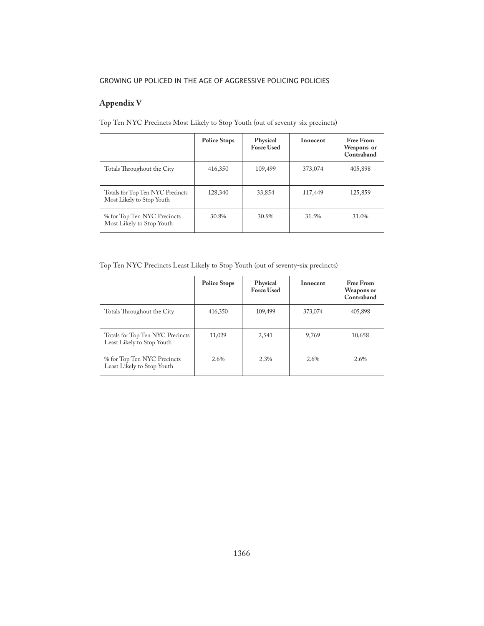## **Appendix V**

|                                                               | <b>Police Stops</b> | Physical<br><b>Force Used</b> | Innocent | <b>Free From</b><br>Weapons or<br>Contraband |
|---------------------------------------------------------------|---------------------|-------------------------------|----------|----------------------------------------------|
| Totals Throughout the City                                    | 416,350             | 109,499                       | 373,074  | 405,898                                      |
| Totals for Top Ten NYC Precincts<br>Most Likely to Stop Youth | 128,340             | 33,854                        | 117,449  | 125,859                                      |
| % for Top Ten NYC Precincts<br>Most Likely to Stop Youth      | 30.8%               | 30.9%                         | 31.5%    | 31.0%                                        |

Top Ten NYC Precincts Most Likely to Stop Youth (out of seventy-six precincts)

Top Ten NYC Precincts Least Likely to Stop Youth (out of seventy-six precincts)

|                                                                | <b>Police Stops</b> | Physical<br><b>Force Used</b> | Innocent | <b>Free From</b><br><b>Weapons</b> or<br>Contraband |
|----------------------------------------------------------------|---------------------|-------------------------------|----------|-----------------------------------------------------|
| Totals Throughout the City                                     | 416,350             | 109,499                       | 373,074  | 405,898                                             |
| Totals for Top Ten NYC Precincts<br>Least Likely to Stop Youth | 11,029              | 2,541                         | 9,769    | 10,658                                              |
| % for Top Ten NYC Precincts<br>Least Likely to Stop Youth      | 2.6%                | 2.3%                          | 2.6%     | 2.6%                                                |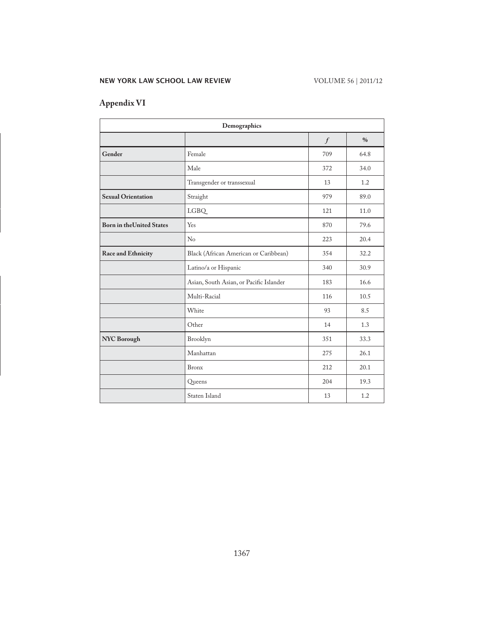## **Appendix VI**

| Demographics                     |                                         |                             |               |  |
|----------------------------------|-----------------------------------------|-----------------------------|---------------|--|
|                                  |                                         | $\mathcal{F}_{\mathcal{L}}$ | $\frac{0}{0}$ |  |
| Gender                           | Female                                  | 709                         | 64.8          |  |
|                                  | Male                                    | 372                         | 34.0          |  |
|                                  | Transgender or transsexual              | 13                          | 1.2           |  |
| <b>Sexual Orientation</b>        | Straight                                | 979                         | 89.0          |  |
|                                  | <b>LGBQ</b>                             | 121                         | 11.0          |  |
| <b>Born in the United States</b> | Yes                                     | 870                         | 79.6          |  |
|                                  | No                                      | 223                         | 20.4          |  |
| <b>Race and Ethnicity</b>        | Black (African American or Caribbean)   | 354                         | 32.2          |  |
|                                  | Latino/a or Hispanic                    | 340                         | 30.9          |  |
|                                  | Asian, South Asian, or Pacific Islander | 183                         | 16.6          |  |
|                                  | Multi-Racial                            | 116                         | 10.5          |  |
|                                  | White                                   | 93                          | 8.5           |  |
|                                  | Other                                   | 14                          | 1.3           |  |
| <b>NYC Borough</b>               | Brooklyn                                | 351                         | 33.3          |  |
|                                  | Manhattan                               | 275                         | 26.1          |  |
|                                  | <b>Bronx</b>                            | 212                         | 20.1          |  |
|                                  | Queens                                  | 204                         | 19.3          |  |
|                                  | Staten Island                           | 13                          | 1.2           |  |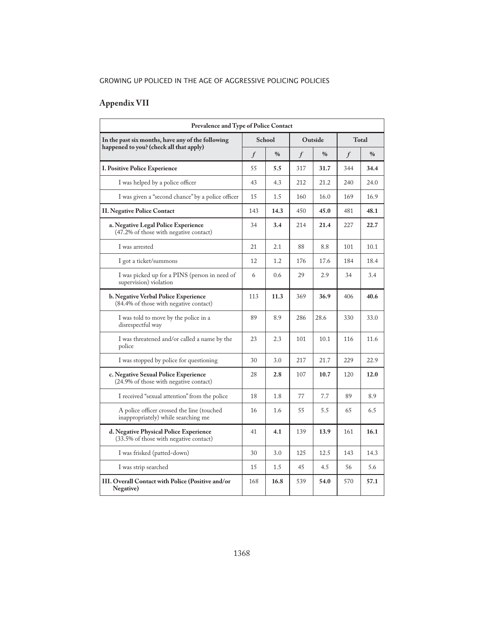## **Appendix VII**

| <b>Prevalence and Type of Police Contact</b>                                          |     |               |         |               |              |               |
|---------------------------------------------------------------------------------------|-----|---------------|---------|---------------|--------------|---------------|
| In the past six months, have any of the following                                     |     | <b>School</b> | Outside |               | <b>Total</b> |               |
| happened to you? (check all that apply)                                               |     | $\frac{0}{0}$ | $\int$  | $\frac{0}{0}$ | $\int$       | $\frac{0}{0}$ |
| <b>I. Positive Police Experience</b>                                                  | 55  | 5.5           | 317     | 31.7          | 344          | 34.4          |
| I was helped by a police officer                                                      | 43  | 4.3           | 212     | 21.2          | 240          | 24.0          |
| I was given a "second chance" by a police officer                                     | 15  | 1.5           | 160     | 16.0          | 169          | 16.9          |
| <b>II. Negative Police Contact</b>                                                    | 143 | 14.3          | 450     | 45.0          | 481          | 48.1          |
| a. Negative Legal Police Experience<br>(47.2% of those with negative contact)         | 34  | 3.4           | 214     | 21.4          | 227          | 22.7          |
| I was arrested                                                                        | 21  | 2.1           | 88      | 8.8           | 101          | 10.1          |
| I got a ticket/summons                                                                | 12  | 1.2           | 176     | 17.6          | 184          | 18.4          |
| I was picked up for a PINS (person in need of<br>supervision) violation               |     | 0.6           | 29      | 2.9           | 34           | 3.4           |
| <b>b. Negative Verbal Police Experience</b><br>(84.4% of those with negative contact) | 113 | 11.3          | 369     | 36.9          | 406          | 40.6          |
| I was told to move by the police in a<br>disrespectful way                            |     | 8.9           | 286     | 28.6          | 330          | 33.0          |
| I was threatened and/or called a name by the<br>police                                |     | 2.3           | 101     | 10.1          | 116          | 11.6          |
| I was stopped by police for questioning                                               |     | 3.0           | 217     | 21.7          | 229          | 22.9          |
| c. Negative Sexual Police Experience<br>(24.9% of those with negative contact)        |     | 2.8           | 107     | 10.7          | 120          | 12.0          |
| I received "sexual attention" from the police                                         | 18  | 1.8           | 77      | 7.7           | 89           | 8.9           |
| A police officer crossed the line (touched<br>inappropriately) while searching me     | 16  | 1.6           | 55      | 5.5           | 65           | 6.5           |
| d. Negative Physical Police Experience<br>(33.5% of those with negative contact)      |     | 4.1           | 139     | 13.9          | 161          | 16.1          |
| I was frisked (patted-down)                                                           | 30  | 3.0           | 125     | 12.5          | 143          | 14.3          |
| I was strip searched                                                                  | 15  | 1.5           | 45      | 4.5           | 56           | 5.6           |
| III. Overall Contact with Police (Positive and/or<br>Negative)                        |     | 16.8          | 539     | 54.0          | 570          | 57.1          |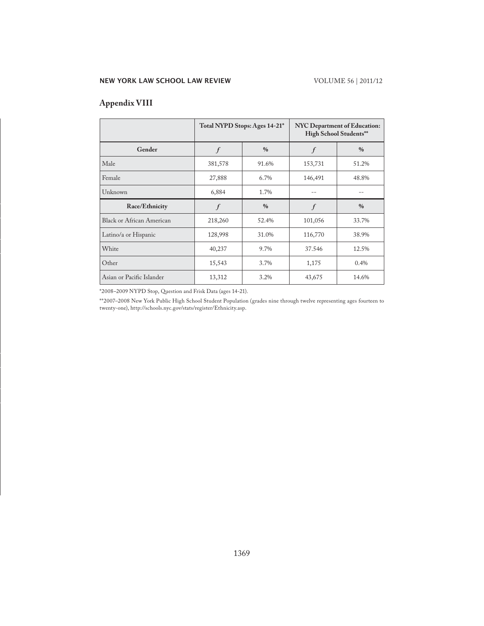## **Appendix VIII**

|                           | Total NYPD Stops: Ages 14-21* |               | High School Students** | <b>NYC Department of Education:</b> |
|---------------------------|-------------------------------|---------------|------------------------|-------------------------------------|
| Gender                    | f                             | $\frac{0}{0}$ | f                      | $\frac{0}{0}$                       |
| Male                      | 381,578                       | 91.6%         | 153,731                | 51.2%                               |
| Female                    | 27,888                        | 6.7%          | 146,491                | 48.8%                               |
| Unknown                   | 6,884                         | 1.7%          |                        |                                     |
| Race/Ethnicity            | f                             | $\frac{0}{0}$ | f                      | $\%$                                |
| Black or African American | 218,260                       | 52.4%         | 101,056                | 33.7%                               |
| Latino/a or Hispanic      | 128,998                       | 31.0%         | 116,770                | 38.9%                               |
| White                     | 40,237                        | 9.7%          | 37.546                 | 12.5%                               |
| Other                     | 15,543                        | 3.7%          | 1,175                  | $0.4\%$                             |
| Asian or Pacific Islander | 13,312                        | 3.2%          | 43,675                 | 14.6%                               |

\*2008–2009 NYPD Stop, Question and Frisk Data (ages 14-21).

\*\*2007–2008 New York Public High School Student Population (grades nine through twelve representing ages fourteen to twenty-one), http://schools.nyc.gov/stats/register/Ethnicity.asp.